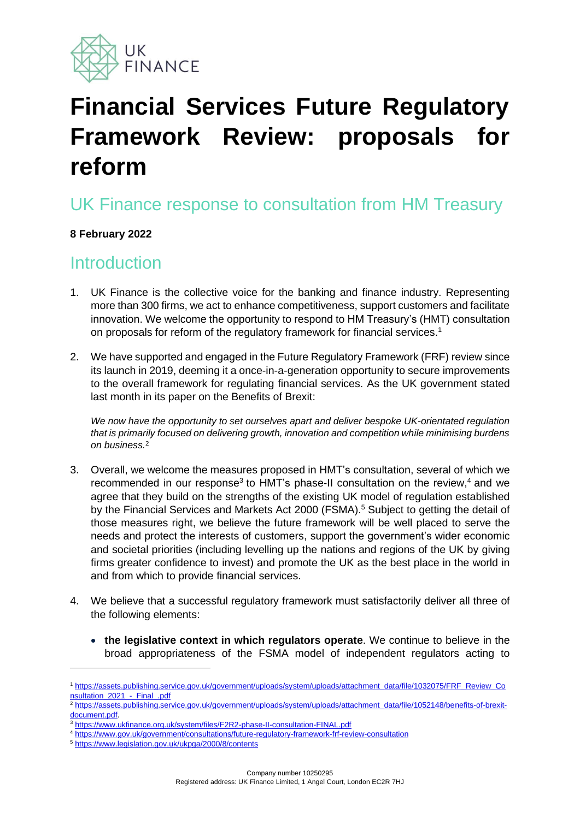

# **Financial Services Future Regulatory Framework Review: proposals for reform**

### UK Finance response to consultation from HM Treasury

#### **8 February 2022**

### **Introduction**

- 1. UK Finance is the collective voice for the banking and finance industry. Representing more than 300 firms, we act to enhance competitiveness, support customers and facilitate innovation. We welcome the opportunity to respond to HM Treasury's (HMT) consultation on proposals for reform of the regulatory framework for financial services. 1
- 2. We have supported and engaged in the Future Regulatory Framework (FRF) review since its launch in 2019, deeming it a once-in-a-generation opportunity to secure improvements to the overall framework for regulating financial services. As the UK government stated last month in its paper on the Benefits of Brexit:

*We now have the opportunity to set ourselves apart and deliver bespoke UK-orientated regulation that is primarily focused on delivering growth, innovation and competition while minimising burdens on business.*<sup>2</sup>

- 3. Overall, we welcome the measures proposed in HMT's consultation, several of which we recommended in our response<sup>3</sup> to HMT's phase-II consultation on the review, $4$  and we agree that they build on the strengths of the existing UK model of regulation established by the Financial Services and Markets Act 2000 (FSMA). <sup>5</sup> Subject to getting the detail of those measures right, we believe the future framework will be well placed to serve the needs and protect the interests of customers, support the government's wider economic and societal priorities (including levelling up the nations and regions of the UK by giving firms greater confidence to invest) and promote the UK as the best place in the world in and from which to provide financial services.
- 4. We believe that a successful regulatory framework must satisfactorily deliver all three of the following elements:
	- **the legislative context in which regulators operate**. We continue to believe in the broad appropriateness of the FSMA model of independent regulators acting to

<sup>5</sup> <https://www.legislation.gov.uk/ukpga/2000/8/contents>

<sup>1</sup> [https://assets.publishing.service.gov.uk/government/uploads/system/uploads/attachment\\_data/file/1032075/FRF\\_Review\\_Co](https://assets.publishing.service.gov.uk/government/uploads/system/uploads/attachment_data/file/1032075/FRF_Review_Consultation_2021_-_Final_.pdf) [nsultation\\_2021\\_-\\_Final\\_.pdf](https://assets.publishing.service.gov.uk/government/uploads/system/uploads/attachment_data/file/1032075/FRF_Review_Consultation_2021_-_Final_.pdf)

<sup>2</sup> [https://assets.publishing.service.gov.uk/government/uploads/system/uploads/attachment\\_data/file/1052148/benefits-of-brexit](https://assets.publishing.service.gov.uk/government/uploads/system/uploads/attachment_data/file/1052148/benefits-of-brexit-document.pdf)[document.pdf.](https://assets.publishing.service.gov.uk/government/uploads/system/uploads/attachment_data/file/1052148/benefits-of-brexit-document.pdf)

<sup>3</sup> <https://www.ukfinance.org.uk/system/files/F2R2-phase-II-consultation-FINAL.pdf>

<sup>4</sup> <https://www.gov.uk/government/consultations/future-regulatory-framework-frf-review-consultation>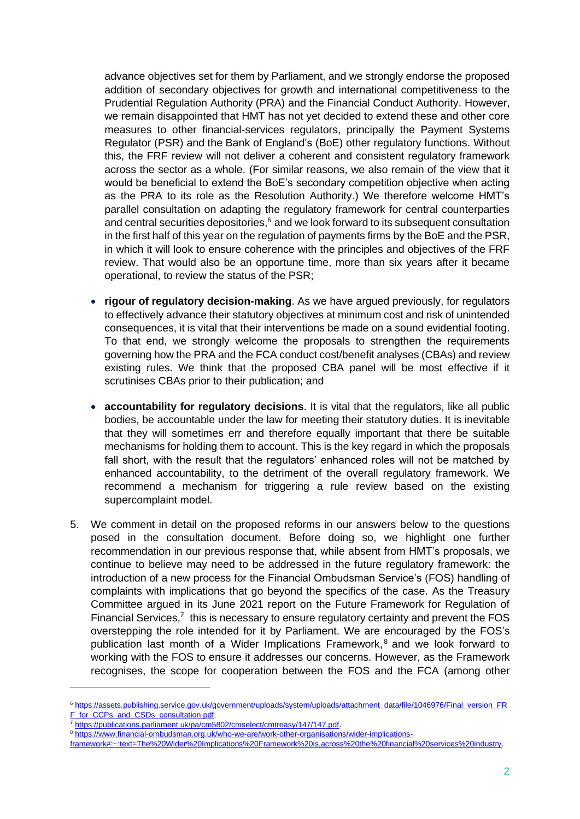advance objectives set for them by Parliament, and we strongly endorse the proposed addition of secondary objectives for growth and international competitiveness to the Prudential Regulation Authority (PRA) and the Financial Conduct Authority. However, we remain disappointed that HMT has not yet decided to extend these and other core measures to other financial-services regulators, principally the Payment Systems Regulator (PSR) and the Bank of England's (BoE) other regulatory functions. Without this, the FRF review will not deliver a coherent and consistent regulatory framework across the sector as a whole. (For similar reasons, we also remain of the view that it would be beneficial to extend the BoE's secondary competition objective when acting as the PRA to its role as the Resolution Authority.) We therefore welcome HMT's parallel consultation on adapting the regulatory framework for central counterparties and central securities depositories, $6$  and we look forward to its subsequent consultation in the first half of this year on the regulation of payments firms by the BoE and the PSR, in which it will look to ensure coherence with the principles and objectives of the FRF review. That would also be an opportune time, more than six years after it became operational, to review the status of the PSR;

- **rigour of regulatory decision-making**. As we have argued previously, for regulators to effectively advance their statutory objectives at minimum cost and risk of unintended consequences, it is vital that their interventions be made on a sound evidential footing. To that end, we strongly welcome the proposals to strengthen the requirements governing how the PRA and the FCA conduct cost/benefit analyses (CBAs) and review existing rules. We think that the proposed CBA panel will be most effective if it scrutinises CBAs prior to their publication; and
- **accountability for regulatory decisions**. It is vital that the regulators, like all public bodies, be accountable under the law for meeting their statutory duties. It is inevitable that they will sometimes err and therefore equally important that there be suitable mechanisms for holding them to account. This is the key regard in which the proposals fall short, with the result that the regulators' enhanced roles will not be matched by enhanced accountability, to the detriment of the overall regulatory framework. We recommend a mechanism for triggering a rule review based on the existing supercomplaint model.
- 5. We comment in detail on the proposed reforms in our answers below to the questions posed in the consultation document. Before doing so, we highlight one further recommendation in our previous response that, while absent from HMT's proposals, we continue to believe may need to be addressed in the future regulatory framework: the introduction of a new process for the Financial Ombudsman Service's (FOS) handling of complaints with implications that go beyond the specifics of the case. As the Treasury Committee argued in its June 2021 report on the Future Framework for Regulation of Financial Services, $<sup>7</sup>$  this is necessary to ensure regulatory certainty and prevent the FOS</sup> overstepping the role intended for it by Parliament. We are encouraged by the FOS's publication last month of a Wider Implications Framework,<sup>8</sup> and we look forward to working with the FOS to ensure it addresses our concerns. However, as the Framework recognises, the scope for cooperation between the FOS and the FCA (among other

<sup>6</sup> [https://assets.publishing.service.gov.uk/government/uploads/system/uploads/attachment\\_data/file/1046976/Final\\_version\\_FR](https://assets.publishing.service.gov.uk/government/uploads/system/uploads/attachment_data/file/1046976/Final_version_FRF_for_CCPs_and_CSDs_consultation.pdf) [F\\_for\\_CCPs\\_and\\_CSDs\\_consultation.pdf.](https://assets.publishing.service.gov.uk/government/uploads/system/uploads/attachment_data/file/1046976/Final_version_FRF_for_CCPs_and_CSDs_consultation.pdf)

<sup>7</sup> [https://publications.parliament.uk/pa/cm5802/cmselect/cmtreasy/147/147.pdf.](https://publications.parliament.uk/pa/cm5802/cmselect/cmtreasy/147/147.pdf)

<sup>8</sup> [https://www.financial-ombudsman.org.uk/who-we-are/work-other-organisations/wider-implications-](https://www.financial-ombudsman.org.uk/who-we-are/work-other-organisations/wider-implications-framework#:~:text=The%20Wider%20Implications%20Framework%20is,across%20the%20financial%20services%20industry)

[framework#:~:text=The%20Wider%20Implications%20Framework%20is,across%20the%20financial%20services%20industry.](https://www.financial-ombudsman.org.uk/who-we-are/work-other-organisations/wider-implications-framework#:~:text=The%20Wider%20Implications%20Framework%20is,across%20the%20financial%20services%20industry)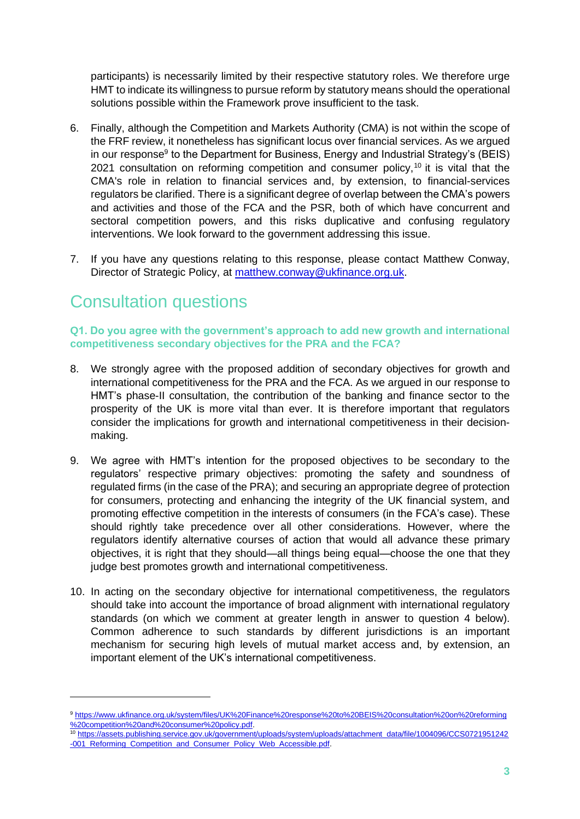participants) is necessarily limited by their respective statutory roles. We therefore urge HMT to indicate its willingness to pursue reform by statutory means should the operational solutions possible within the Framework prove insufficient to the task.

- 6. Finally, although the Competition and Markets Authority (CMA) is not within the scope of the FRF review, it nonetheless has significant locus over financial services. As we argued in our response<sup>9</sup> to the Department for Business, Energy and Industrial Strategy's (BEIS) 2021 consultation on reforming competition and consumer policy,<sup>10</sup> it is vital that the CMA's role in relation to financial services and, by extension, to financial-services regulators be clarified. There is a significant degree of overlap between the CMA's powers and activities and those of the FCA and the PSR, both of which have concurrent and sectoral competition powers, and this risks duplicative and confusing regulatory interventions. We look forward to the government addressing this issue.
- 7. If you have any questions relating to this response, please contact Matthew Conway, Director of Strategic Policy, at [matthew.conway@ukfinance.org.uk.](mailto:matthew.conway@ukfinance.org.uk)

### Consultation questions

**Q1. Do you agree with the government's approach to add new growth and international competitiveness secondary objectives for the PRA and the FCA?**

- 8. We strongly agree with the proposed addition of secondary objectives for growth and international competitiveness for the PRA and the FCA. As we argued in our response to HMT's phase-II consultation, the contribution of the banking and finance sector to the prosperity of the UK is more vital than ever. It is therefore important that regulators consider the implications for growth and international competitiveness in their decisionmaking.
- 9. We agree with HMT's intention for the proposed objectives to be secondary to the regulators' respective primary objectives: promoting the safety and soundness of regulated firms (in the case of the PRA); and securing an appropriate degree of protection for consumers, protecting and enhancing the integrity of the UK financial system, and promoting effective competition in the interests of consumers (in the FCA's case). These should rightly take precedence over all other considerations. However, where the regulators identify alternative courses of action that would all advance these primary objectives, it is right that they should—all things being equal—choose the one that they judge best promotes growth and international competitiveness.
- 10. In acting on the secondary objective for international competitiveness, the regulators should take into account the importance of broad alignment with international regulatory standards (on which we comment at greater length in answer to question 4 below). Common adherence to such standards by different jurisdictions is an important mechanism for securing high levels of mutual market access and, by extension, an important element of the UK's international competitiveness.

<sup>9</sup> [https://www.ukfinance.org.uk/system/files/UK%20Finance%20response%20to%20BEIS%20consultation%20on%20reforming](https://www.ukfinance.org.uk/system/files/UK%20Finance%20response%20to%20BEIS%20consultation%20on%20reforming%20competition%20and%20consumer%20policy.pdf) [%20competition%20and%20consumer%20policy.pdf.](https://www.ukfinance.org.uk/system/files/UK%20Finance%20response%20to%20BEIS%20consultation%20on%20reforming%20competition%20and%20consumer%20policy.pdf)

<sup>10</sup> [https://assets.publishing.service.gov.uk/government/uploads/system/uploads/attachment\\_data/file/1004096/CCS0721951242](https://assets.publishing.service.gov.uk/government/uploads/system/uploads/attachment_data/file/1004096/CCS0721951242-001_Reforming_Competition_and_Consumer_Policy_Web_Accessible.pdf) [-001\\_Reforming\\_Competition\\_and\\_Consumer\\_Policy\\_Web\\_Accessible.pdf.](https://assets.publishing.service.gov.uk/government/uploads/system/uploads/attachment_data/file/1004096/CCS0721951242-001_Reforming_Competition_and_Consumer_Policy_Web_Accessible.pdf)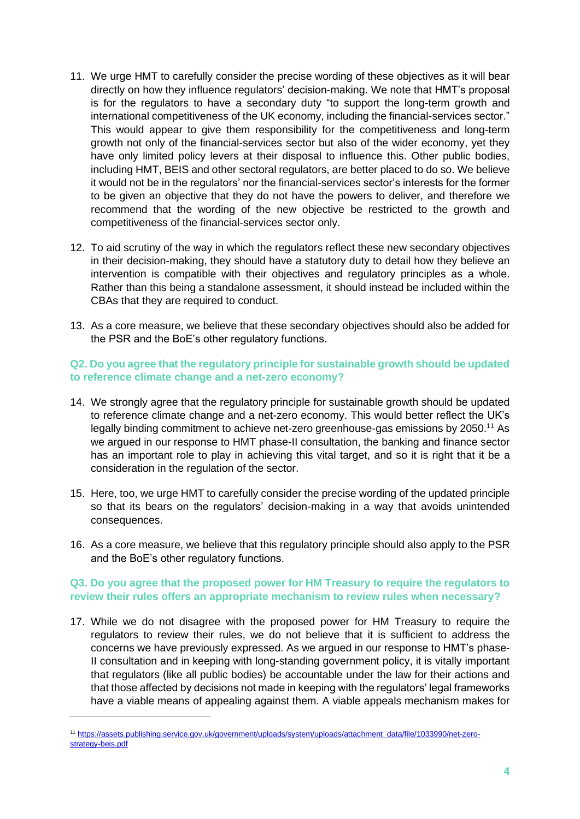- 11. We urge HMT to carefully consider the precise wording of these objectives as it will bear directly on how they influence regulators' decision-making. We note that HMT's proposal is for the regulators to have a secondary duty "to support the long-term growth and international competitiveness of the UK economy, including the financial-services sector." This would appear to give them responsibility for the competitiveness and long-term growth not only of the financial-services sector but also of the wider economy, yet they have only limited policy levers at their disposal to influence this. Other public bodies, including HMT, BEIS and other sectoral regulators, are better placed to do so. We believe it would not be in the regulators' nor the financial-services sector's interests for the former to be given an objective that they do not have the powers to deliver, and therefore we recommend that the wording of the new objective be restricted to the growth and competitiveness of the financial-services sector only.
- 12. To aid scrutiny of the way in which the regulators reflect these new secondary objectives in their decision-making, they should have a statutory duty to detail how they believe an intervention is compatible with their objectives and regulatory principles as a whole. Rather than this being a standalone assessment, it should instead be included within the CBAs that they are required to conduct.
- 13. As a core measure, we believe that these secondary objectives should also be added for the PSR and the BoE's other regulatory functions.

#### **Q2. Do you agree that the regulatory principle for sustainable growth should be updated to reference climate change and a net-zero economy?**

- 14. We strongly agree that the regulatory principle for sustainable growth should be updated to reference climate change and a net-zero economy. This would better reflect the UK's legally binding commitment to achieve net-zero greenhouse-gas emissions by 2050.<sup>11</sup> As we argued in our response to HMT phase-II consultation, the banking and finance sector has an important role to play in achieving this vital target, and so it is right that it be a consideration in the regulation of the sector.
- 15. Here, too, we urge HMT to carefully consider the precise wording of the updated principle so that its bears on the regulators' decision-making in a way that avoids unintended consequences.
- 16. As a core measure, we believe that this regulatory principle should also apply to the PSR and the BoE's other regulatory functions.

#### **Q3. Do you agree that the proposed power for HM Treasury to require the regulators to review their rules offers an appropriate mechanism to review rules when necessary?**

17. While we do not disagree with the proposed power for HM Treasury to require the regulators to review their rules, we do not believe that it is sufficient to address the concerns we have previously expressed. As we argued in our response to HMT's phase-II consultation and in keeping with long-standing government policy, it is vitally important that regulators (like all public bodies) be accountable under the law for their actions and that those affected by decisions not made in keeping with the regulators' legal frameworks have a viable means of appealing against them. A viable appeals mechanism makes for

<sup>11</sup> [https://assets.publishing.service.gov.uk/government/uploads/system/uploads/attachment\\_data/file/1033990/net-zero](https://assets.publishing.service.gov.uk/government/uploads/system/uploads/attachment_data/file/1033990/net-zero-strategy-beis.pdf)[strategy-beis.pdf](https://assets.publishing.service.gov.uk/government/uploads/system/uploads/attachment_data/file/1033990/net-zero-strategy-beis.pdf)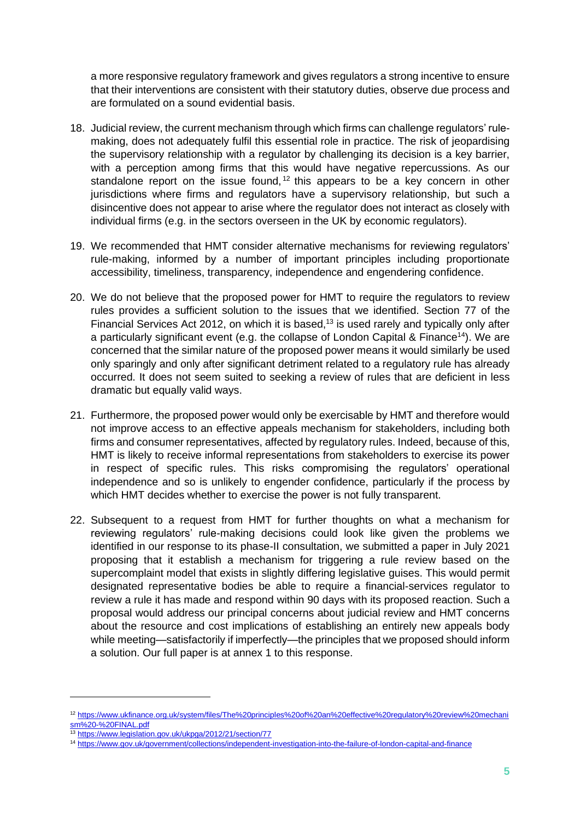a more responsive regulatory framework and gives regulators a strong incentive to ensure that their interventions are consistent with their statutory duties, observe due process and are formulated on a sound evidential basis.

- 18. Judicial review, the current mechanism through which firms can challenge regulators' rulemaking, does not adequately fulfil this essential role in practice. The risk of jeopardising the supervisory relationship with a regulator by challenging its decision is a key barrier, with a perception among firms that this would have negative repercussions. As our standalone report on the issue found,  $12$  this appears to be a key concern in other jurisdictions where firms and regulators have a supervisory relationship, but such a disincentive does not appear to arise where the regulator does not interact as closely with individual firms (e.g. in the sectors overseen in the UK by economic regulators).
- 19. We recommended that HMT consider alternative mechanisms for reviewing regulators' rule-making, informed by a number of important principles including proportionate accessibility, timeliness, transparency, independence and engendering confidence.
- 20. We do not believe that the proposed power for HMT to require the regulators to review rules provides a sufficient solution to the issues that we identified. Section 77 of the Financial Services Act 2012, on which it is based, $13$  is used rarely and typically only after a particularly significant event (e.g. the collapse of London Capital & Finance<sup>14</sup>). We are concerned that the similar nature of the proposed power means it would similarly be used only sparingly and only after significant detriment related to a regulatory rule has already occurred. It does not seem suited to seeking a review of rules that are deficient in less dramatic but equally valid ways.
- 21. Furthermore, the proposed power would only be exercisable by HMT and therefore would not improve access to an effective appeals mechanism for stakeholders, including both firms and consumer representatives, affected by regulatory rules. Indeed, because of this, HMT is likely to receive informal representations from stakeholders to exercise its power in respect of specific rules. This risks compromising the regulators' operational independence and so is unlikely to engender confidence, particularly if the process by which HMT decides whether to exercise the power is not fully transparent.
- 22. Subsequent to a request from HMT for further thoughts on what a mechanism for reviewing regulators' rule-making decisions could look like given the problems we identified in our response to its phase-II consultation, we submitted a paper in July 2021 proposing that it establish a mechanism for triggering a rule review based on the supercomplaint model that exists in slightly differing legislative guises. This would permit designated representative bodies be able to require a financial-services regulator to review a rule it has made and respond within 90 days with its proposed reaction. Such a proposal would address our principal concerns about judicial review and HMT concerns about the resource and cost implications of establishing an entirely new appeals body while meeting—satisfactorily if imperfectly—the principles that we proposed should inform a solution. Our full paper is at annex 1 to this response.

<sup>12</sup> [https://www.ukfinance.org.uk/system/files/The%20principles%20of%20an%20effective%20regulatory%20review%20mechani](https://www.ukfinance.org.uk/system/files/The%20principles%20of%20an%20effective%20regulatory%20review%20mechanism%20-%20FINAL.pdf) [sm%20-%20FINAL.pdf](https://www.ukfinance.org.uk/system/files/The%20principles%20of%20an%20effective%20regulatory%20review%20mechanism%20-%20FINAL.pdf)

<sup>13</sup> <https://www.legislation.gov.uk/ukpga/2012/21/section/77>

<sup>14</sup> <https://www.gov.uk/government/collections/independent-investigation-into-the-failure-of-london-capital-and-finance>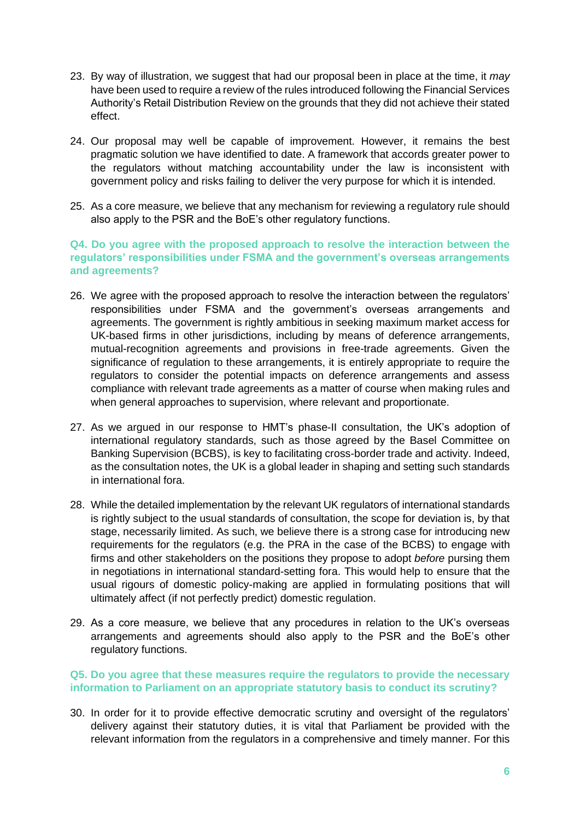- 23. By way of illustration, we suggest that had our proposal been in place at the time, it *may*  have been used to require a review of the rules introduced following the Financial Services Authority's Retail Distribution Review on the grounds that they did not achieve their stated effect.
- 24. Our proposal may well be capable of improvement. However, it remains the best pragmatic solution we have identified to date. A framework that accords greater power to the regulators without matching accountability under the law is inconsistent with government policy and risks failing to deliver the very purpose for which it is intended.
- 25. As a core measure, we believe that any mechanism for reviewing a regulatory rule should also apply to the PSR and the BoE's other regulatory functions.

#### **Q4. Do you agree with the proposed approach to resolve the interaction between the regulators' responsibilities under FSMA and the government's overseas arrangements and agreements?**

- 26. We agree with the proposed approach to resolve the interaction between the regulators' responsibilities under FSMA and the government's overseas arrangements and agreements. The government is rightly ambitious in seeking maximum market access for UK-based firms in other jurisdictions, including by means of deference arrangements, mutual-recognition agreements and provisions in free-trade agreements. Given the significance of regulation to these arrangements, it is entirely appropriate to require the regulators to consider the potential impacts on deference arrangements and assess compliance with relevant trade agreements as a matter of course when making rules and when general approaches to supervision, where relevant and proportionate.
- 27. As we argued in our response to HMT's phase-II consultation, the UK's adoption of international regulatory standards, such as those agreed by the Basel Committee on Banking Supervision (BCBS), is key to facilitating cross-border trade and activity. Indeed, as the consultation notes, the UK is a global leader in shaping and setting such standards in international fora.
- 28. While the detailed implementation by the relevant UK regulators of international standards is rightly subject to the usual standards of consultation, the scope for deviation is, by that stage, necessarily limited. As such, we believe there is a strong case for introducing new requirements for the regulators (e.g. the PRA in the case of the BCBS) to engage with firms and other stakeholders on the positions they propose to adopt *before* pursing them in negotiations in international standard-setting fora. This would help to ensure that the usual rigours of domestic policy-making are applied in formulating positions that will ultimately affect (if not perfectly predict) domestic regulation.
- 29. As a core measure, we believe that any procedures in relation to the UK's overseas arrangements and agreements should also apply to the PSR and the BoE's other regulatory functions.

#### **Q5. Do you agree that these measures require the regulators to provide the necessary information to Parliament on an appropriate statutory basis to conduct its scrutiny?**

30. In order for it to provide effective democratic scrutiny and oversight of the regulators' delivery against their statutory duties, it is vital that Parliament be provided with the relevant information from the regulators in a comprehensive and timely manner. For this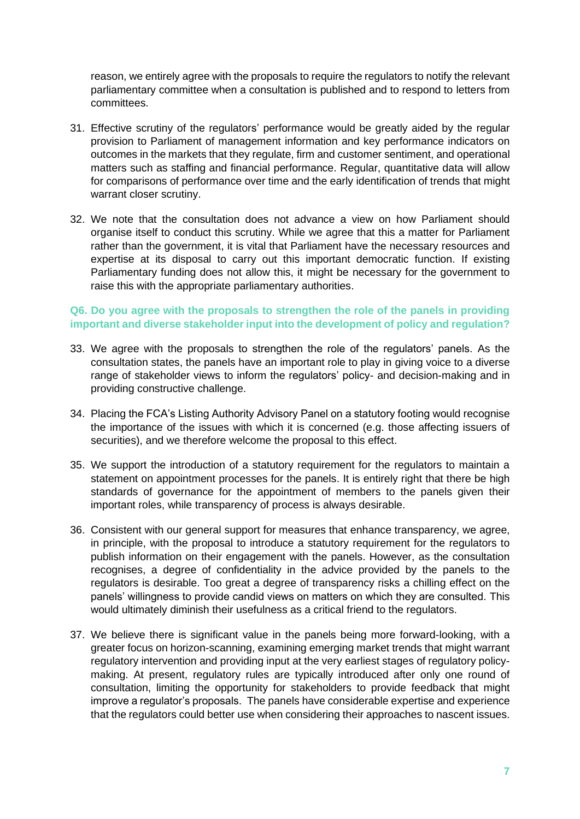reason, we entirely agree with the proposals to require the regulators to notify the relevant parliamentary committee when a consultation is published and to respond to letters from committees.

- 31. Effective scrutiny of the regulators' performance would be greatly aided by the regular provision to Parliament of management information and key performance indicators on outcomes in the markets that they regulate, firm and customer sentiment, and operational matters such as staffing and financial performance. Regular, quantitative data will allow for comparisons of performance over time and the early identification of trends that might warrant closer scrutiny.
- 32. We note that the consultation does not advance a view on how Parliament should organise itself to conduct this scrutiny. While we agree that this a matter for Parliament rather than the government, it is vital that Parliament have the necessary resources and expertise at its disposal to carry out this important democratic function. If existing Parliamentary funding does not allow this, it might be necessary for the government to raise this with the appropriate parliamentary authorities.

#### **Q6. Do you agree with the proposals to strengthen the role of the panels in providing important and diverse stakeholder input into the development of policy and regulation?**

- 33. We agree with the proposals to strengthen the role of the regulators' panels. As the consultation states, the panels have an important role to play in giving voice to a diverse range of stakeholder views to inform the regulators' policy- and decision-making and in providing constructive challenge.
- 34. Placing the FCA's Listing Authority Advisory Panel on a statutory footing would recognise the importance of the issues with which it is concerned (e.g. those affecting issuers of securities), and we therefore welcome the proposal to this effect.
- 35. We support the introduction of a statutory requirement for the regulators to maintain a statement on appointment processes for the panels. It is entirely right that there be high standards of governance for the appointment of members to the panels given their important roles, while transparency of process is always desirable.
- 36. Consistent with our general support for measures that enhance transparency, we agree, in principle, with the proposal to introduce a statutory requirement for the regulators to publish information on their engagement with the panels. However, as the consultation recognises, a degree of confidentiality in the advice provided by the panels to the regulators is desirable. Too great a degree of transparency risks a chilling effect on the panels' willingness to provide candid views on matters on which they are consulted. This would ultimately diminish their usefulness as a critical friend to the regulators.
- 37. We believe there is significant value in the panels being more forward-looking, with a greater focus on horizon-scanning, examining emerging market trends that might warrant regulatory intervention and providing input at the very earliest stages of regulatory policymaking. At present, regulatory rules are typically introduced after only one round of consultation, limiting the opportunity for stakeholders to provide feedback that might improve a regulator's proposals. The panels have considerable expertise and experience that the regulators could better use when considering their approaches to nascent issues.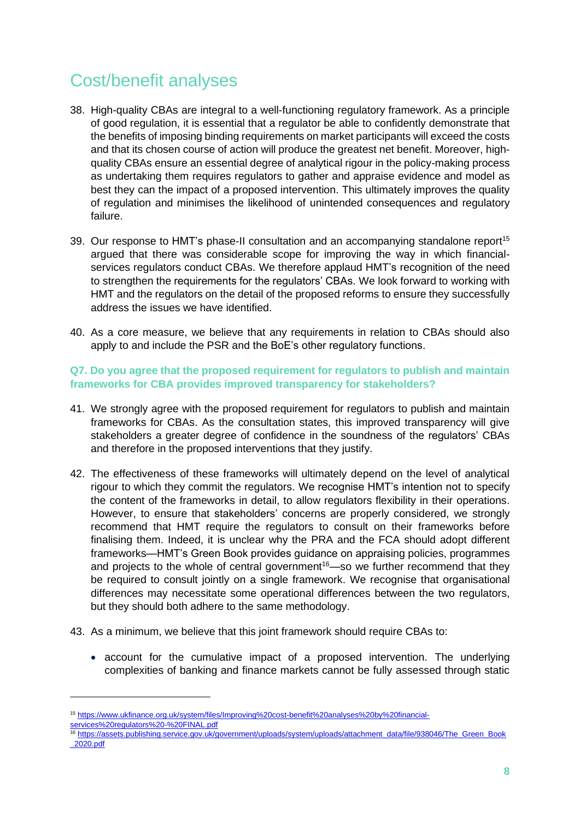### Cost/benefit analyses

- 38. High-quality CBAs are integral to a well-functioning regulatory framework. As a principle of good regulation, it is essential that a regulator be able to confidently demonstrate that the benefits of imposing binding requirements on market participants will exceed the costs and that its chosen course of action will produce the greatest net benefit. Moreover, highquality CBAs ensure an essential degree of analytical rigour in the policy-making process as undertaking them requires regulators to gather and appraise evidence and model as best they can the impact of a proposed intervention. This ultimately improves the quality of regulation and minimises the likelihood of unintended consequences and regulatory failure.
- 39. Our response to HMT's phase-II consultation and an accompanying standalone report<sup>15</sup> argued that there was considerable scope for improving the way in which financialservices regulators conduct CBAs. We therefore applaud HMT's recognition of the need to strengthen the requirements for the regulators' CBAs. We look forward to working with HMT and the regulators on the detail of the proposed reforms to ensure they successfully address the issues we have identified.
- 40. As a core measure, we believe that any requirements in relation to CBAs should also apply to and include the PSR and the BoE's other regulatory functions.

#### **Q7. Do you agree that the proposed requirement for regulators to publish and maintain frameworks for CBA provides improved transparency for stakeholders?**

- 41. We strongly agree with the proposed requirement for regulators to publish and maintain frameworks for CBAs. As the consultation states, this improved transparency will give stakeholders a greater degree of confidence in the soundness of the regulators' CBAs and therefore in the proposed interventions that they justify.
- 42. The effectiveness of these frameworks will ultimately depend on the level of analytical rigour to which they commit the regulators. We recognise HMT's intention not to specify the content of the frameworks in detail, to allow regulators flexibility in their operations. However, to ensure that stakeholders' concerns are properly considered, we strongly recommend that HMT require the regulators to consult on their frameworks before finalising them. Indeed, it is unclear why the PRA and the FCA should adopt different frameworks—HMT's Green Book provides guidance on appraising policies, programmes and projects to the whole of central government<sup>16</sup>—so we further recommend that they be required to consult jointly on a single framework. We recognise that organisational differences may necessitate some operational differences between the two regulators, but they should both adhere to the same methodology.
- 43. As a minimum, we believe that this joint framework should require CBAs to:
	- account for the cumulative impact of a proposed intervention. The underlying complexities of banking and finance markets cannot be fully assessed through static

<sup>16</sup> [https://assets.publishing.service.gov.uk/government/uploads/system/uploads/attachment\\_data/file/938046/The\\_Green\\_Book](https://assets.publishing.service.gov.uk/government/uploads/system/uploads/attachment_data/file/938046/The_Green_Book_2020.pdf) [\\_2020.pdf](https://assets.publishing.service.gov.uk/government/uploads/system/uploads/attachment_data/file/938046/The_Green_Book_2020.pdf)

<sup>15</sup> [https://www.ukfinance.org.uk/system/files/Improving%20cost-benefit%20analyses%20by%20financial](https://www.ukfinance.org.uk/system/files/Improving%20cost-benefit%20analyses%20by%20financial-services%20regulators%20-%20FINAL.pdf)[services%20regulators%20-%20FINAL.pdf](https://www.ukfinance.org.uk/system/files/Improving%20cost-benefit%20analyses%20by%20financial-services%20regulators%20-%20FINAL.pdf)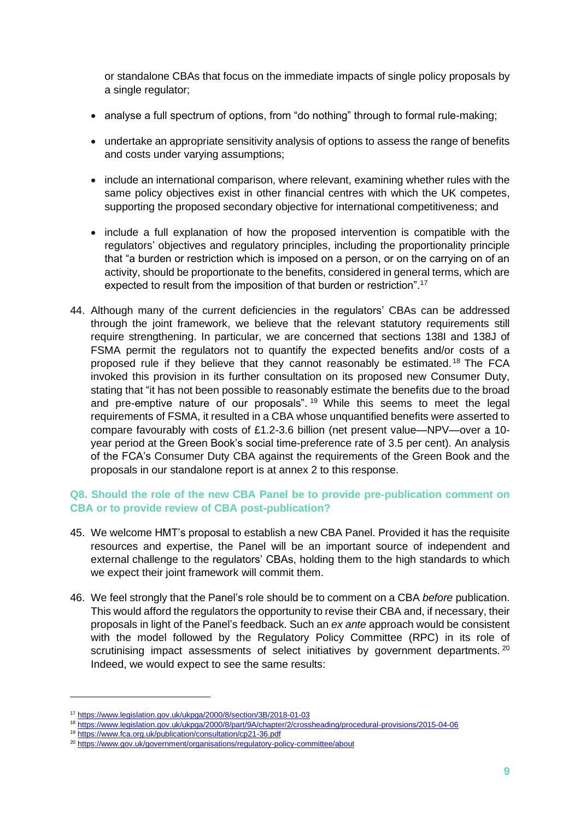or standalone CBAs that focus on the immediate impacts of single policy proposals by a single regulator;

- analyse a full spectrum of options, from "do nothing" through to formal rule-making:
- undertake an appropriate sensitivity analysis of options to assess the range of benefits and costs under varying assumptions;
- include an international comparison, where relevant, examining whether rules with the same policy objectives exist in other financial centres with which the UK competes, supporting the proposed secondary objective for international competitiveness; and
- include a full explanation of how the proposed intervention is compatible with the regulators' objectives and regulatory principles, including the proportionality principle that "a burden or restriction which is imposed on a person, or on the carrying on of an activity, should be proportionate to the benefits, considered in general terms, which are expected to result from the imposition of that burden or restriction".<sup>17</sup>
- 44. Although many of the current deficiencies in the regulators' CBAs can be addressed through the joint framework, we believe that the relevant statutory requirements still require strengthening. In particular, we are concerned that sections 138I and 138J of FSMA permit the regulators not to quantify the expected benefits and/or costs of a proposed rule if they believe that they cannot reasonably be estimated.<sup>18</sup> The FCA invoked this provision in its further consultation on its proposed new Consumer Duty, stating that "it has not been possible to reasonably estimate the benefits due to the broad and pre-emptive nature of our proposals".<sup>19</sup> While this seems to meet the legal requirements of FSMA, it resulted in a CBA whose unquantified benefits were asserted to compare favourably with costs of £1.2-3.6 billion (net present value—NPV—over a 10 year period at the Green Book's social time-preference rate of 3.5 per cent). An analysis of the FCA's Consumer Duty CBA against the requirements of the Green Book and the proposals in our standalone report is at annex 2 to this response.

#### **Q8. Should the role of the new CBA Panel be to provide pre-publication comment on CBA or to provide review of CBA post-publication?**

- 45. We welcome HMT's proposal to establish a new CBA Panel. Provided it has the requisite resources and expertise, the Panel will be an important source of independent and external challenge to the regulators' CBAs, holding them to the high standards to which we expect their joint framework will commit them.
- 46. We feel strongly that the Panel's role should be to comment on a CBA *before* publication. This would afford the regulators the opportunity to revise their CBA and, if necessary, their proposals in light of the Panel's feedback. Such an *ex ante* approach would be consistent with the model followed by the Regulatory Policy Committee (RPC) in its role of scrutinising impact assessments of select initiatives by government departments.  $20$ Indeed, we would expect to see the same results:

<sup>17</sup> <https://www.legislation.gov.uk/ukpga/2000/8/section/3B/2018-01-03>

<sup>18</sup> <https://www.legislation.gov.uk/ukpga/2000/8/part/9A/chapter/2/crossheading/procedural-provisions/2015-04-06>

<sup>19</sup> <https://www.fca.org.uk/publication/consultation/cp21-36.pdf>

<sup>20</sup> <https://www.gov.uk/government/organisations/regulatory-policy-committee/about>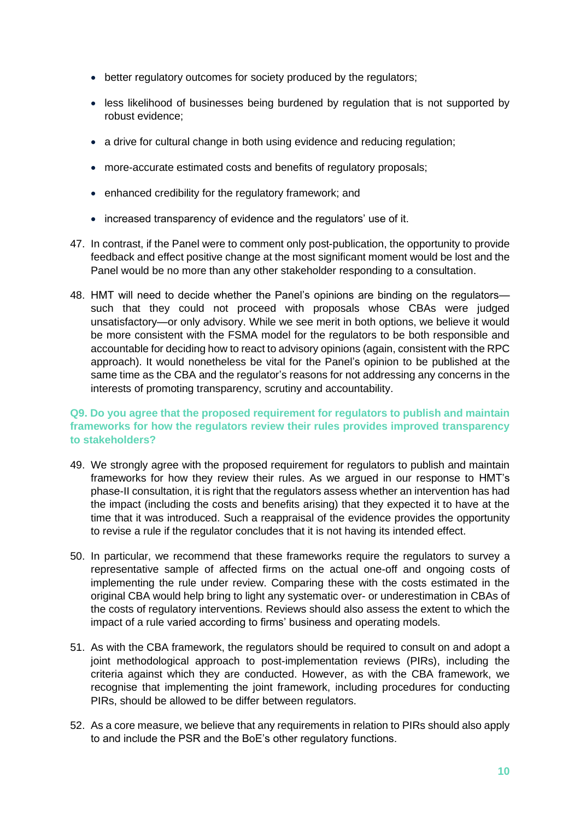- better regulatory outcomes for society produced by the regulators;
- less likelihood of businesses being burdened by regulation that is not supported by robust evidence;
- a drive for cultural change in both using evidence and reducing regulation;
- more-accurate estimated costs and benefits of regulatory proposals;
- enhanced credibility for the regulatory framework; and
- increased transparency of evidence and the regulators' use of it.
- 47. In contrast, if the Panel were to comment only post-publication, the opportunity to provide feedback and effect positive change at the most significant moment would be lost and the Panel would be no more than any other stakeholder responding to a consultation.
- 48. HMT will need to decide whether the Panel's opinions are binding on the regulators such that they could not proceed with proposals whose CBAs were judged unsatisfactory—or only advisory. While we see merit in both options, we believe it would be more consistent with the FSMA model for the regulators to be both responsible and accountable for deciding how to react to advisory opinions (again, consistent with the RPC approach). It would nonetheless be vital for the Panel's opinion to be published at the same time as the CBA and the regulator's reasons for not addressing any concerns in the interests of promoting transparency, scrutiny and accountability.

#### **Q9. Do you agree that the proposed requirement for regulators to publish and maintain frameworks for how the regulators review their rules provides improved transparency to stakeholders?**

- 49. We strongly agree with the proposed requirement for regulators to publish and maintain frameworks for how they review their rules. As we argued in our response to HMT's phase-II consultation, it is right that the regulators assess whether an intervention has had the impact (including the costs and benefits arising) that they expected it to have at the time that it was introduced. Such a reappraisal of the evidence provides the opportunity to revise a rule if the regulator concludes that it is not having its intended effect.
- 50. In particular, we recommend that these frameworks require the regulators to survey a representative sample of affected firms on the actual one-off and ongoing costs of implementing the rule under review. Comparing these with the costs estimated in the original CBA would help bring to light any systematic over- or underestimation in CBAs of the costs of regulatory interventions. Reviews should also assess the extent to which the impact of a rule varied according to firms' business and operating models.
- 51. As with the CBA framework, the regulators should be required to consult on and adopt a joint methodological approach to post-implementation reviews (PIRs), including the criteria against which they are conducted. However, as with the CBA framework, we recognise that implementing the joint framework, including procedures for conducting PIRs, should be allowed to be differ between regulators.
- 52. As a core measure, we believe that any requirements in relation to PIRs should also apply to and include the PSR and the BoE's other regulatory functions.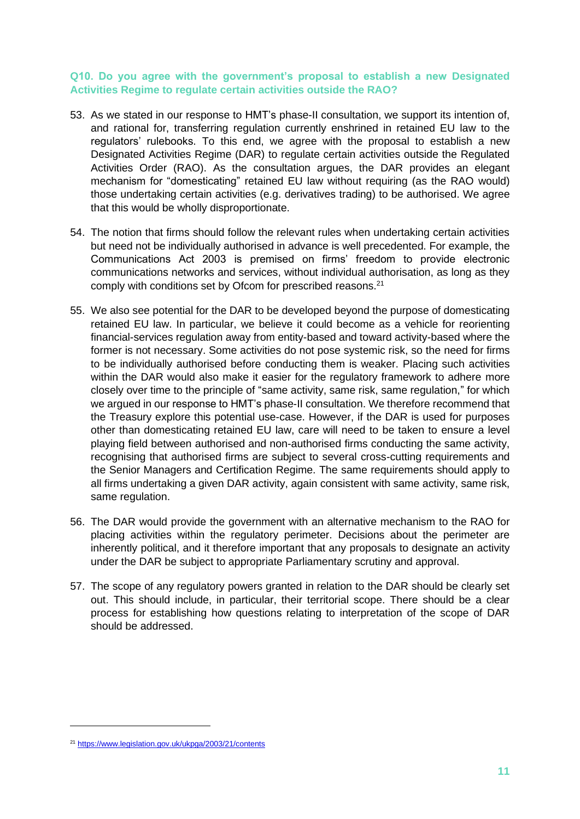#### **Q10. Do you agree with the government's proposal to establish a new Designated Activities Regime to regulate certain activities outside the RAO?**

- 53. As we stated in our response to HMT's phase-II consultation, we support its intention of, and rational for, transferring regulation currently enshrined in retained EU law to the regulators' rulebooks. To this end, we agree with the proposal to establish a new Designated Activities Regime (DAR) to regulate certain activities outside the Regulated Activities Order (RAO). As the consultation argues, the DAR provides an elegant mechanism for "domesticating" retained EU law without requiring (as the RAO would) those undertaking certain activities (e.g. derivatives trading) to be authorised. We agree that this would be wholly disproportionate.
- 54. The notion that firms should follow the relevant rules when undertaking certain activities but need not be individually authorised in advance is well precedented. For example, the Communications Act 2003 is premised on firms' freedom to provide electronic communications networks and services, without individual authorisation, as long as they comply with conditions set by Ofcom for prescribed reasons.<sup>21</sup>
- 55. We also see potential for the DAR to be developed beyond the purpose of domesticating retained EU law. In particular, we believe it could become as a vehicle for reorienting financial-services regulation away from entity-based and toward activity-based where the former is not necessary. Some activities do not pose systemic risk, so the need for firms to be individually authorised before conducting them is weaker. Placing such activities within the DAR would also make it easier for the regulatory framework to adhere more closely over time to the principle of "same activity, same risk, same regulation," for which we argued in our response to HMT's phase-II consultation. We therefore recommend that the Treasury explore this potential use-case. However, if the DAR is used for purposes other than domesticating retained EU law, care will need to be taken to ensure a level playing field between authorised and non-authorised firms conducting the same activity, recognising that authorised firms are subject to several cross-cutting requirements and the Senior Managers and Certification Regime. The same requirements should apply to all firms undertaking a given DAR activity, again consistent with same activity, same risk, same regulation.
- 56. The DAR would provide the government with an alternative mechanism to the RAO for placing activities within the regulatory perimeter. Decisions about the perimeter are inherently political, and it therefore important that any proposals to designate an activity under the DAR be subject to appropriate Parliamentary scrutiny and approval.
- 57. The scope of any regulatory powers granted in relation to the DAR should be clearly set out. This should include, in particular, their territorial scope. There should be a clear process for establishing how questions relating to interpretation of the scope of DAR should be addressed.

<sup>21</sup> <https://www.legislation.gov.uk/ukpga/2003/21/contents>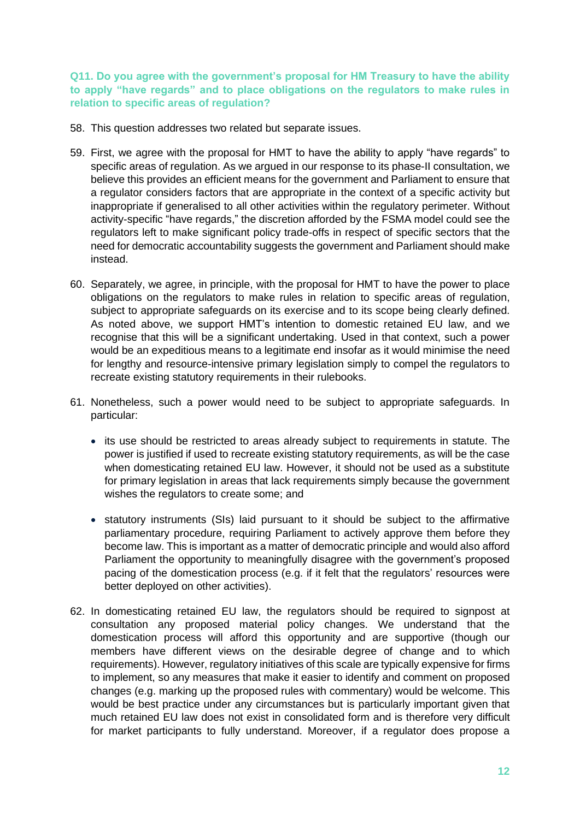**Q11. Do you agree with the government's proposal for HM Treasury to have the ability to apply "have regards" and to place obligations on the regulators to make rules in relation to specific areas of regulation?**

- 58. This question addresses two related but separate issues.
- 59. First, we agree with the proposal for HMT to have the ability to apply "have regards" to specific areas of regulation. As we argued in our response to its phase-II consultation, we believe this provides an efficient means for the government and Parliament to ensure that a regulator considers factors that are appropriate in the context of a specific activity but inappropriate if generalised to all other activities within the regulatory perimeter. Without activity-specific "have regards," the discretion afforded by the FSMA model could see the regulators left to make significant policy trade-offs in respect of specific sectors that the need for democratic accountability suggests the government and Parliament should make instead.
- 60. Separately, we agree, in principle, with the proposal for HMT to have the power to place obligations on the regulators to make rules in relation to specific areas of regulation, subject to appropriate safeguards on its exercise and to its scope being clearly defined. As noted above, we support HMT's intention to domestic retained EU law, and we recognise that this will be a significant undertaking. Used in that context, such a power would be an expeditious means to a legitimate end insofar as it would minimise the need for lengthy and resource-intensive primary legislation simply to compel the regulators to recreate existing statutory requirements in their rulebooks.
- 61. Nonetheless, such a power would need to be subject to appropriate safeguards. In particular:
	- its use should be restricted to areas already subject to requirements in statute. The power is justified if used to recreate existing statutory requirements, as will be the case when domesticating retained EU law. However, it should not be used as a substitute for primary legislation in areas that lack requirements simply because the government wishes the regulators to create some; and
	- statutory instruments (SIs) laid pursuant to it should be subject to the affirmative parliamentary procedure, requiring Parliament to actively approve them before they become law. This is important as a matter of democratic principle and would also afford Parliament the opportunity to meaningfully disagree with the government's proposed pacing of the domestication process (e.g. if it felt that the regulators' resources were better deployed on other activities).
- 62. In domesticating retained EU law, the regulators should be required to signpost at consultation any proposed material policy changes. We understand that the domestication process will afford this opportunity and are supportive (though our members have different views on the desirable degree of change and to which requirements). However, regulatory initiatives of this scale are typically expensive for firms to implement, so any measures that make it easier to identify and comment on proposed changes (e.g. marking up the proposed rules with commentary) would be welcome. This would be best practice under any circumstances but is particularly important given that much retained EU law does not exist in consolidated form and is therefore very difficult for market participants to fully understand. Moreover, if a regulator does propose a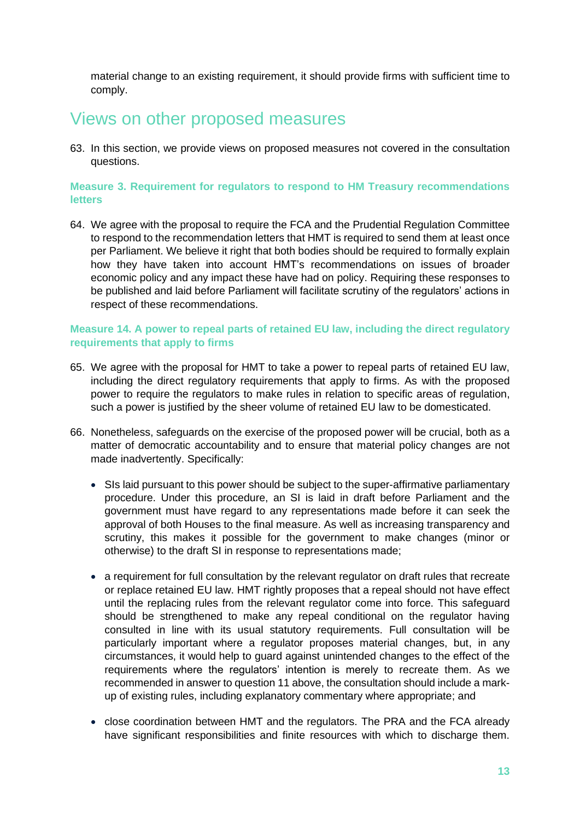material change to an existing requirement, it should provide firms with sufficient time to comply.

### Views on other proposed measures

63. In this section, we provide views on proposed measures not covered in the consultation questions.

#### **Measure 3. Requirement for regulators to respond to HM Treasury recommendations letters**

64. We agree with the proposal to require the FCA and the Prudential Regulation Committee to respond to the recommendation letters that HMT is required to send them at least once per Parliament. We believe it right that both bodies should be required to formally explain how they have taken into account HMT's recommendations on issues of broader economic policy and any impact these have had on policy. Requiring these responses to be published and laid before Parliament will facilitate scrutiny of the regulators' actions in respect of these recommendations.

#### **Measure 14. A power to repeal parts of retained EU law, including the direct regulatory requirements that apply to firms**

- 65. We agree with the proposal for HMT to take a power to repeal parts of retained EU law, including the direct regulatory requirements that apply to firms. As with the proposed power to require the regulators to make rules in relation to specific areas of regulation, such a power is justified by the sheer volume of retained EU law to be domesticated.
- 66. Nonetheless, safeguards on the exercise of the proposed power will be crucial, both as a matter of democratic accountability and to ensure that material policy changes are not made inadvertently. Specifically:
	- SIs laid pursuant to this power should be subject to the super-affirmative parliamentary procedure. Under this procedure, an SI is laid in draft before Parliament and the government must have regard to any representations made before it can seek the approval of both Houses to the final measure. As well as increasing transparency and scrutiny, this makes it possible for the government to make changes (minor or otherwise) to the draft SI in response to representations made;
	- a requirement for full consultation by the relevant regulator on draft rules that recreate or replace retained EU law. HMT rightly proposes that a repeal should not have effect until the replacing rules from the relevant regulator come into force. This safeguard should be strengthened to make any repeal conditional on the regulator having consulted in line with its usual statutory requirements. Full consultation will be particularly important where a regulator proposes material changes, but, in any circumstances, it would help to guard against unintended changes to the effect of the requirements where the regulators' intention is merely to recreate them. As we recommended in answer to question 11 above, the consultation should include a markup of existing rules, including explanatory commentary where appropriate; and
	- close coordination between HMT and the regulators. The PRA and the FCA already have significant responsibilities and finite resources with which to discharge them.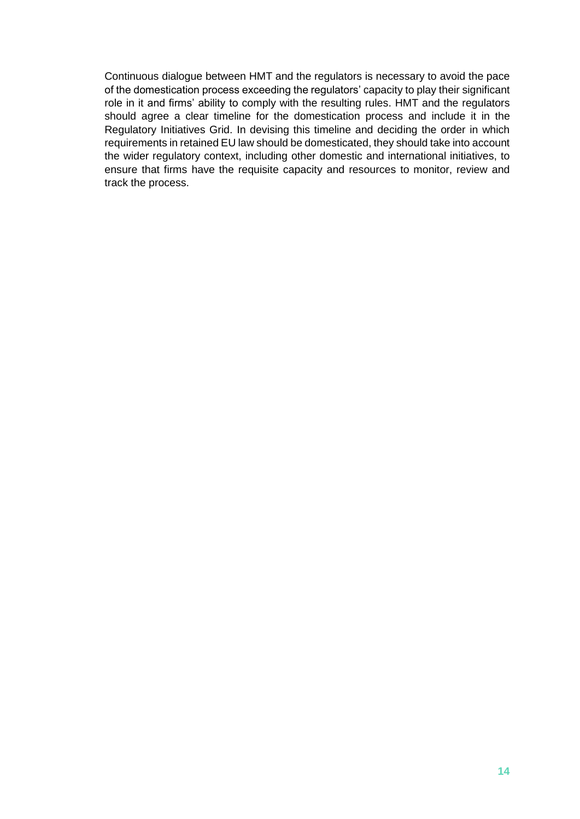Continuous dialogue between HMT and the regulators is necessary to avoid the pace of the domestication process exceeding the regulators' capacity to play their significant role in it and firms' ability to comply with the resulting rules. HMT and the regulators should agree a clear timeline for the domestication process and include it in the Regulatory Initiatives Grid. In devising this timeline and deciding the order in which requirements in retained EU law should be domesticated, they should take into account the wider regulatory context, including other domestic and international initiatives, to ensure that firms have the requisite capacity and resources to monitor, review and track the process.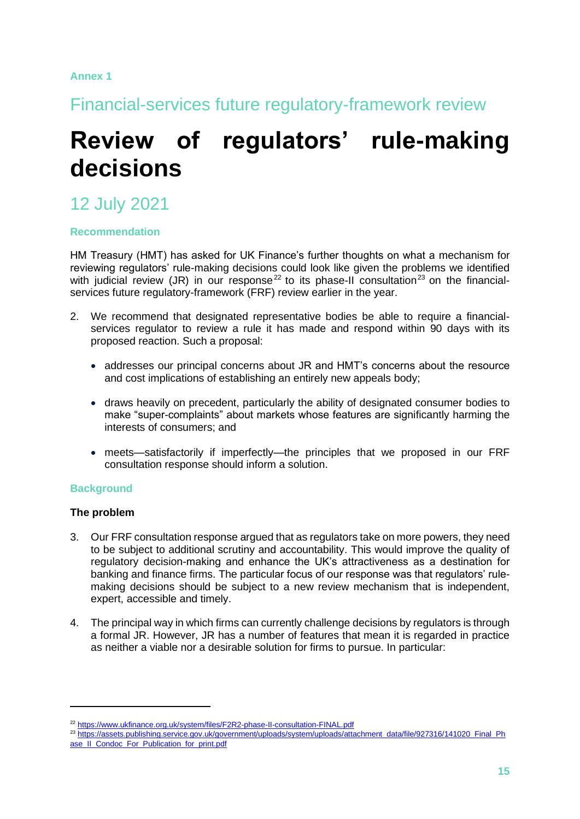#### **Annex 1**

Financial-services future regulatory-framework review

## **Review of regulators' rule-making decisions**

### 12 July 2021

#### **Recommendation**

HM Treasury (HMT) has asked for UK Finance's further thoughts on what a mechanism for reviewing regulators' rule-making decisions could look like given the problems we identified with judicial review (JR) in our response<sup>22</sup> to its phase-II consultation<sup>23</sup> on the financialservices future regulatory-framework (FRF) review earlier in the year.

- 2. We recommend that designated representative bodies be able to require a financialservices regulator to review a rule it has made and respond within 90 days with its proposed reaction. Such a proposal:
	- addresses our principal concerns about JR and HMT's concerns about the resource and cost implications of establishing an entirely new appeals body;
	- draws heavily on precedent, particularly the ability of designated consumer bodies to make "super-complaints" about markets whose features are significantly harming the interests of consumers; and
	- meets—satisfactorily if imperfectly—the principles that we proposed in our FRF consultation response should inform a solution.

#### **Background**

#### **The problem**

- 3. Our FRF consultation response argued that as regulators take on more powers, they need to be subject to additional scrutiny and accountability. This would improve the quality of regulatory decision-making and enhance the UK's attractiveness as a destination for banking and finance firms. The particular focus of our response was that regulators' rulemaking decisions should be subject to a new review mechanism that is independent, expert, accessible and timely.
- 4. The principal way in which firms can currently challenge decisions by regulators is through a formal JR. However, JR has a number of features that mean it is regarded in practice as neither a viable nor a desirable solution for firms to pursue. In particular:

<sup>22</sup> <https://www.ukfinance.org.uk/system/files/F2R2-phase-II-consultation-FINAL.pdf>

<sup>23</sup> [https://assets.publishing.service.gov.uk/government/uploads/system/uploads/attachment\\_data/file/927316/141020\\_Final\\_Ph](https://assets.publishing.service.gov.uk/government/uploads/system/uploads/attachment_data/file/927316/141020_Final_Phase_II_Condoc_For_Publication_for_print.pdf) ase II\_Condoc\_For\_Publication\_for\_print.pdf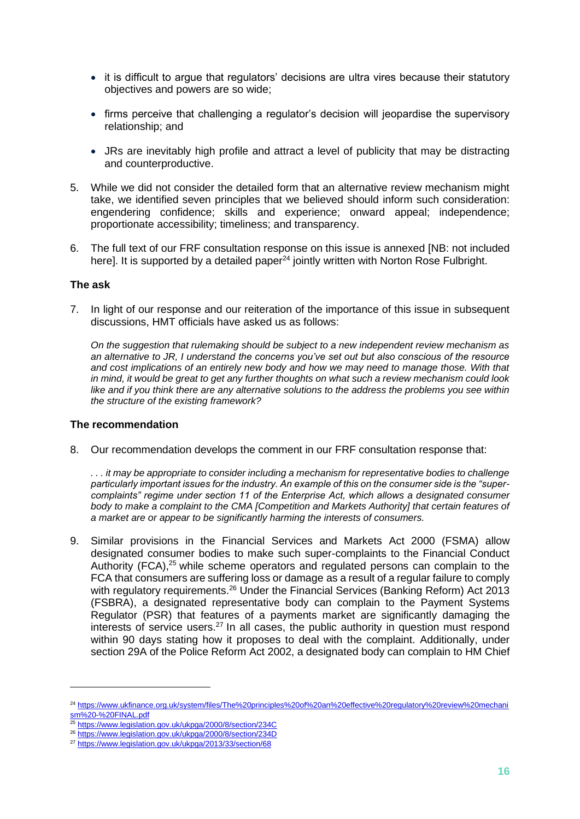- it is difficult to argue that regulators' decisions are ultra vires because their statutory objectives and powers are so wide;
- firms perceive that challenging a regulator's decision will jeopardise the supervisory relationship; and
- JRs are inevitably high profile and attract a level of publicity that may be distracting and counterproductive.
- 5. While we did not consider the detailed form that an alternative review mechanism might take, we identified seven principles that we believed should inform such consideration: engendering confidence; skills and experience; onward appeal; independence; proportionate accessibility; timeliness; and transparency.
- 6. The full text of our FRF consultation response on this issue is annexed [NB: not included here]. It is supported by a detailed paper<sup>24</sup> jointly written with Norton Rose Fulbright.

#### **The ask**

7. In light of our response and our reiteration of the importance of this issue in subsequent discussions, HMT officials have asked us as follows:

*On the suggestion that rulemaking should be subject to a new independent review mechanism as an alternative to JR, I understand the concerns you've set out but also conscious of the resource and cost implications of an entirely new body and how we may need to manage those. With that in mind, it would be great to get any further thoughts on what such a review mechanism could look like and if you think there are any alternative solutions to the address the problems you see within the structure of the existing framework?*

#### **The recommendation**

8. Our recommendation develops the comment in our FRF consultation response that:

*. . . it may be appropriate to consider including a mechanism for representative bodies to challenge particularly important issues for the industry. An example of this on the consumer side is the "supercomplaints" regime under section 11 of the Enterprise Act, which allows a designated consumer body to make a complaint to the CMA [Competition and Markets Authority] that certain features of a market are or appear to be significantly harming the interests of consumers.*

9. Similar provisions in the Financial Services and Markets Act 2000 (FSMA) allow designated consumer bodies to make such super-complaints to the Financial Conduct Authority (FCA), $25$  while scheme operators and regulated persons can complain to the FCA that consumers are suffering loss or damage as a result of a regular failure to comply with regulatory requirements.<sup>26</sup> Under the Financial Services (Banking Reform) Act 2013 (FSBRA), a designated representative body can complain to the Payment Systems Regulator (PSR) that features of a payments market are significantly damaging the interests of service users.<sup>27</sup> In all cases, the public authority in question must respond within 90 days stating how it proposes to deal with the complaint. Additionally, under section 29A of the Police Reform Act 2002, a designated body can complain to HM Chief

<sup>24</sup> [https://www.ukfinance.org.uk/system/files/The%20principles%20of%20an%20effective%20regulatory%20review%20mechani](https://www.ukfinance.org.uk/system/files/The%20principles%20of%20an%20effective%20regulatory%20review%20mechanism%20-%20FINAL.pdf) [sm%20-%20FINAL.pdf](https://www.ukfinance.org.uk/system/files/The%20principles%20of%20an%20effective%20regulatory%20review%20mechanism%20-%20FINAL.pdf)

<sup>25</sup> <https://www.legislation.gov.uk/ukpga/2000/8/section/234C>

<sup>26</sup> <https://www.legislation.gov.uk/ukpga/2000/8/section/234D>

<sup>27</sup> <https://www.legislation.gov.uk/ukpga/2013/33/section/68>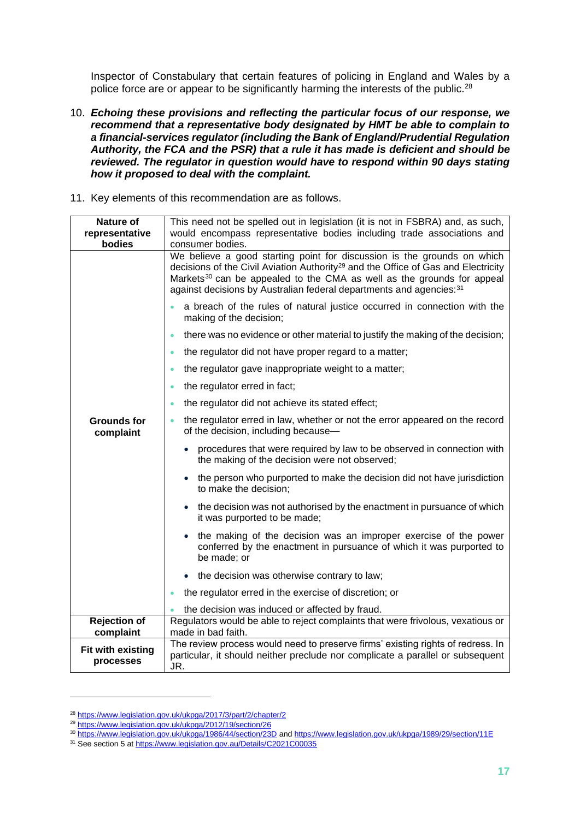Inspector of Constabulary that certain features of policing in England and Wales by a police force are or appear to be significantly harming the interests of the public.<sup>28</sup>

- 10. *Echoing these provisions and reflecting the particular focus of our response, we recommend that a representative body designated by HMT be able to complain to a financial-services regulator (including the Bank of England/Prudential Regulation Authority, the FCA and the PSR) that a rule it has made is deficient and should be reviewed. The regulator in question would have to respond within 90 days stating how it proposed to deal with the complaint.*
- 11. Key elements of this recommendation are as follows.

| <b>Nature of</b><br>representative<br>bodies | This need not be spelled out in legislation (it is not in FSBRA) and, as such,<br>would encompass representative bodies including trade associations and<br>consumer bodies.                                                                                                                                                           |  |  |  |  |
|----------------------------------------------|----------------------------------------------------------------------------------------------------------------------------------------------------------------------------------------------------------------------------------------------------------------------------------------------------------------------------------------|--|--|--|--|
|                                              | We believe a good starting point for discussion is the grounds on which<br>decisions of the Civil Aviation Authority <sup>29</sup> and the Office of Gas and Electricity<br>Markets <sup>30</sup> can be appealed to the CMA as well as the grounds for appeal<br>against decisions by Australian federal departments and agencies: 31 |  |  |  |  |
|                                              | a breach of the rules of natural justice occurred in connection with the<br>making of the decision;                                                                                                                                                                                                                                    |  |  |  |  |
|                                              | there was no evidence or other material to justify the making of the decision;<br>$\bullet$                                                                                                                                                                                                                                            |  |  |  |  |
|                                              | the regulator did not have proper regard to a matter;<br>$\bullet$                                                                                                                                                                                                                                                                     |  |  |  |  |
|                                              | the regulator gave inappropriate weight to a matter;<br>$\bullet$                                                                                                                                                                                                                                                                      |  |  |  |  |
|                                              | the regulator erred in fact;<br>$\bullet$                                                                                                                                                                                                                                                                                              |  |  |  |  |
|                                              | the regulator did not achieve its stated effect;<br>$\bullet$                                                                                                                                                                                                                                                                          |  |  |  |  |
| <b>Grounds for</b><br>complaint              | the regulator erred in law, whether or not the error appeared on the record<br>of the decision, including because-                                                                                                                                                                                                                     |  |  |  |  |
|                                              | procedures that were required by law to be observed in connection with<br>the making of the decision were not observed;                                                                                                                                                                                                                |  |  |  |  |
|                                              | the person who purported to make the decision did not have jurisdiction<br>to make the decision;                                                                                                                                                                                                                                       |  |  |  |  |
|                                              | • the decision was not authorised by the enactment in pursuance of which<br>it was purported to be made;                                                                                                                                                                                                                               |  |  |  |  |
|                                              | the making of the decision was an improper exercise of the power<br>conferred by the enactment in pursuance of which it was purported to<br>be made; or                                                                                                                                                                                |  |  |  |  |
|                                              | the decision was otherwise contrary to law;                                                                                                                                                                                                                                                                                            |  |  |  |  |
|                                              | the regulator erred in the exercise of discretion; or                                                                                                                                                                                                                                                                                  |  |  |  |  |
|                                              | the decision was induced or affected by fraud.                                                                                                                                                                                                                                                                                         |  |  |  |  |
| <b>Rejection of</b><br>complaint             | Regulators would be able to reject complaints that were frivolous, vexatious or<br>made in bad faith.                                                                                                                                                                                                                                  |  |  |  |  |
| <b>Fit with existing</b><br>processes        | The review process would need to preserve firms' existing rights of redress. In<br>particular, it should neither preclude nor complicate a parallel or subsequent<br>JR.                                                                                                                                                               |  |  |  |  |

<sup>28</sup> <https://www.legislation.gov.uk/ukpga/2017/3/part/2/chapter/2>

<sup>29</sup> <https://www.legislation.gov.uk/ukpga/2012/19/section/26>

<sup>30</sup> <https://www.legislation.gov.uk/ukpga/1986/44/section/23D> an[d https://www.legislation.gov.uk/ukpga/1989/29/section/11E](https://www.legislation.gov.uk/ukpga/1989/29/section/11E)

<sup>&</sup>lt;sup>31</sup> See section 5 a[t https://www.legislation.gov.au/Details/C2021C00035](https://www.legislation.gov.au/Details/C2021C00035)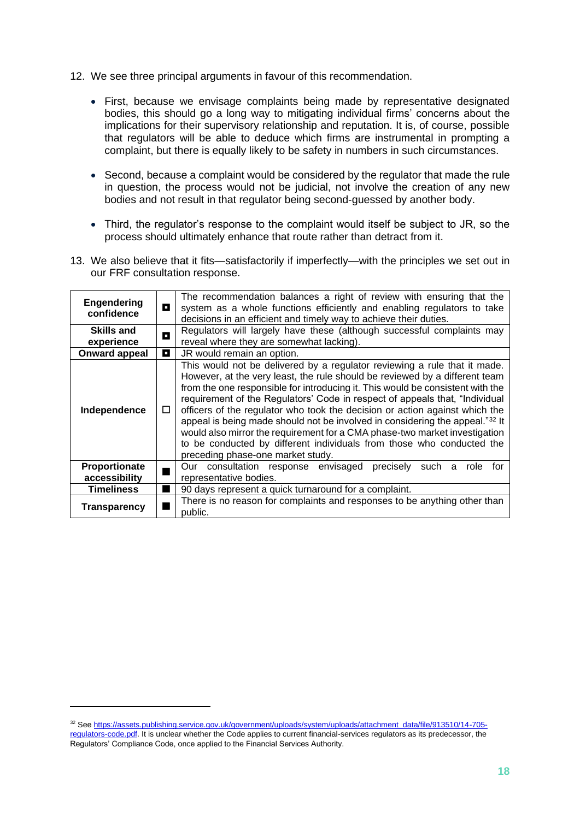- 12. We see three principal arguments in favour of this recommendation.
	- First, because we envisage complaints being made by representative designated bodies, this should go a long way to mitigating individual firms' concerns about the implications for their supervisory relationship and reputation. It is, of course, possible that regulators will be able to deduce which firms are instrumental in prompting a complaint, but there is equally likely to be safety in numbers in such circumstances.
	- Second, because a complaint would be considered by the regulator that made the rule in question, the process would not be judicial, not involve the creation of any new bodies and not result in that regulator being second-guessed by another body.
	- Third, the regulator's response to the complaint would itself be subject to JR, so the process should ultimately enhance that route rather than detract from it.
- 13. We also believe that it fits—satisfactorily if imperfectly—with the principles we set out in our FRF consultation response.

| <b>Engendering</b><br>confidence | п      | The recommendation balances a right of review with ensuring that the<br>system as a whole functions efficiently and enabling regulators to take<br>decisions in an efficient and timely way to achieve their duties.                                                                                                                                                                                                                                                                                                                                                                                                                                                                 |  |  |  |
|----------------------------------|--------|--------------------------------------------------------------------------------------------------------------------------------------------------------------------------------------------------------------------------------------------------------------------------------------------------------------------------------------------------------------------------------------------------------------------------------------------------------------------------------------------------------------------------------------------------------------------------------------------------------------------------------------------------------------------------------------|--|--|--|
| <b>Skills and</b>                | О      | Regulators will largely have these (although successful complaints may                                                                                                                                                                                                                                                                                                                                                                                                                                                                                                                                                                                                               |  |  |  |
| experience                       |        | reveal where they are somewhat lacking).                                                                                                                                                                                                                                                                                                                                                                                                                                                                                                                                                                                                                                             |  |  |  |
| <b>Onward appeal</b>             | О      | JR would remain an option.                                                                                                                                                                                                                                                                                                                                                                                                                                                                                                                                                                                                                                                           |  |  |  |
| Independence                     | $\Box$ | This would not be delivered by a regulator reviewing a rule that it made.<br>However, at the very least, the rule should be reviewed by a different team<br>from the one responsible for introducing it. This would be consistent with the<br>requirement of the Regulators' Code in respect of appeals that, "Individual<br>officers of the regulator who took the decision or action against which the<br>appeal is being made should not be involved in considering the appeal."32 It<br>would also mirror the requirement for a CMA phase-two market investigation<br>to be conducted by different individuals from those who conducted the<br>preceding phase-one market study. |  |  |  |
| Proportionate<br>accessibility   |        | Our consultation response envisaged<br>precisely<br>such<br>a<br>role<br>tor<br>representative bodies.                                                                                                                                                                                                                                                                                                                                                                                                                                                                                                                                                                               |  |  |  |
| <b>Timeliness</b>                |        | 90 days represent a quick turnaround for a complaint.                                                                                                                                                                                                                                                                                                                                                                                                                                                                                                                                                                                                                                |  |  |  |
| <b>Transparency</b>              |        | There is no reason for complaints and responses to be anything other than<br>public.                                                                                                                                                                                                                                                                                                                                                                                                                                                                                                                                                                                                 |  |  |  |

<sup>&</sup>lt;sup>32</sup> Se[e https://assets.publishing.service.gov.uk/government/uploads/system/uploads/attachment\\_data/file/913510/14-705](https://assets.publishing.service.gov.uk/government/uploads/system/uploads/attachment_data/file/913510/14-705-regulators-code.pdf) [regulators-code.pdf.](https://assets.publishing.service.gov.uk/government/uploads/system/uploads/attachment_data/file/913510/14-705-regulators-code.pdf) It is unclear whether the Code applies to current financial-services regulators as its predecessor, the Regulators' Compliance Code, once applied to the Financial Services Authority.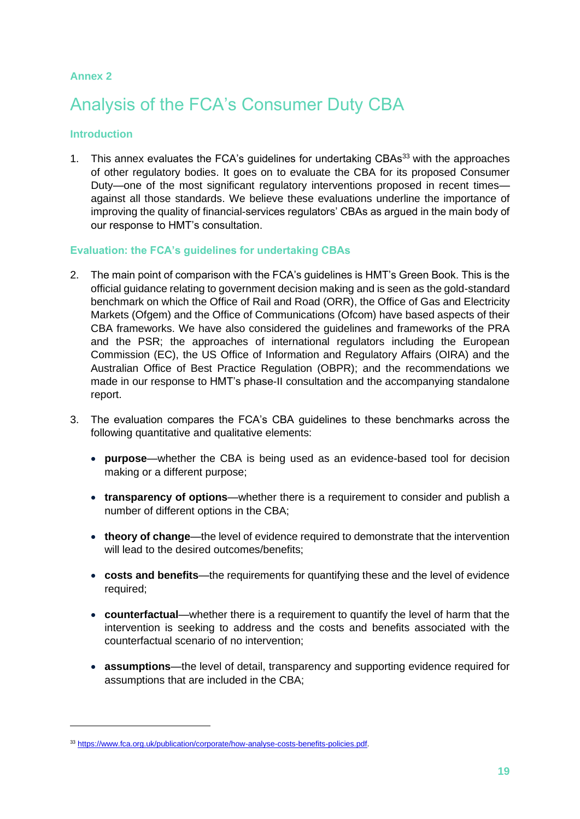#### **Annex 2**

## Analysis of the FCA's Consumer Duty CBA

#### **Introduction**

1. This annex evaluates the FCA's quidelines for undertaking CBAs<sup>33</sup> with the approaches of other regulatory bodies. It goes on to evaluate the CBA for its proposed Consumer Duty—one of the most significant regulatory interventions proposed in recent times against all those standards. We believe these evaluations underline the importance of improving the quality of financial-services regulators' CBAs as argued in the main body of our response to HMT's consultation.

#### **Evaluation: the FCA's guidelines for undertaking CBAs**

- 2. The main point of comparison with the FCA's guidelines is HMT's Green Book. This is the official guidance relating to government decision making and is seen as the gold-standard benchmark on which the Office of Rail and Road (ORR), the Office of Gas and Electricity Markets (Ofgem) and the Office of Communications (Ofcom) have based aspects of their CBA frameworks. We have also considered the guidelines and frameworks of the PRA and the PSR; the approaches of international regulators including the European Commission (EC), the US Office of Information and Regulatory Affairs (OIRA) and the Australian Office of Best Practice Regulation (OBPR); and the recommendations we made in our response to HMT's phase-II consultation and the accompanying standalone report.
- 3. The evaluation compares the FCA's CBA guidelines to these benchmarks across the following quantitative and qualitative elements:
	- **purpose**—whether the CBA is being used as an evidence-based tool for decision making or a different purpose;
	- **transparency of options**—whether there is a requirement to consider and publish a number of different options in the CBA;
	- **theory of change**—the level of evidence required to demonstrate that the intervention will lead to the desired outcomes/benefits:
	- **costs and benefits**—the requirements for quantifying these and the level of evidence required;
	- **counterfactual**—whether there is a requirement to quantify the level of harm that the intervention is seeking to address and the costs and benefits associated with the counterfactual scenario of no intervention;
	- **assumptions**—the level of detail, transparency and supporting evidence required for assumptions that are included in the CBA;

<sup>33</sup> [https://www.fca.org.uk/publication/corporate/how-analyse-costs-benefits-policies.pdf.](https://www.fca.org.uk/publication/corporate/how-analyse-costs-benefits-policies.pdf)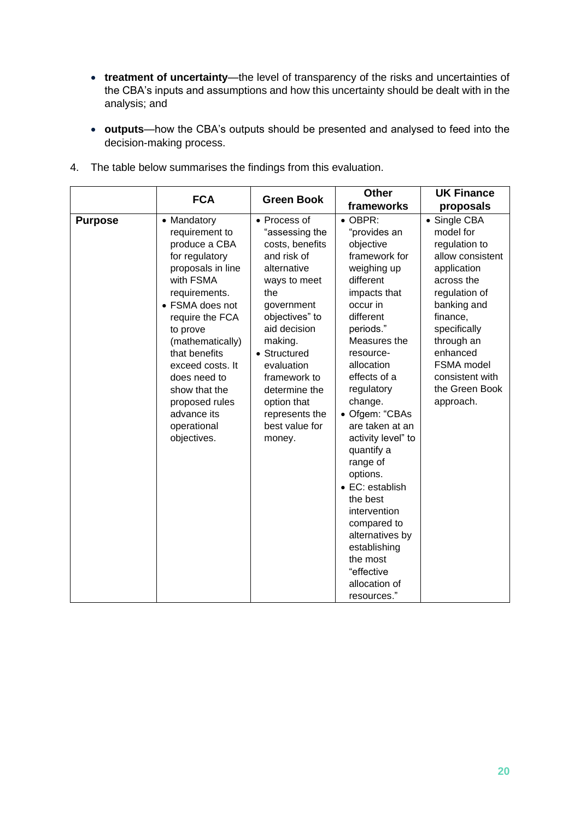- **treatment of uncertainty**—the level of transparency of the risks and uncertainties of the CBA's inputs and assumptions and how this uncertainty should be dealt with in the analysis; and
- **outputs**—how the CBA's outputs should be presented and analysed to feed into the decision-making process.

|                | <b>FCA</b>                                                                                                                                                                                                                                                                                                                     | <b>Green Book</b>                                                                                                                                                                                                                                                                             | <b>Other</b>                                                                                                                                                                                                                                                                                                                                                                                                                                                                                    | <b>UK Finance</b>                                                                                                                                                                                                                                        |
|----------------|--------------------------------------------------------------------------------------------------------------------------------------------------------------------------------------------------------------------------------------------------------------------------------------------------------------------------------|-----------------------------------------------------------------------------------------------------------------------------------------------------------------------------------------------------------------------------------------------------------------------------------------------|-------------------------------------------------------------------------------------------------------------------------------------------------------------------------------------------------------------------------------------------------------------------------------------------------------------------------------------------------------------------------------------------------------------------------------------------------------------------------------------------------|----------------------------------------------------------------------------------------------------------------------------------------------------------------------------------------------------------------------------------------------------------|
|                |                                                                                                                                                                                                                                                                                                                                |                                                                                                                                                                                                                                                                                               | frameworks                                                                                                                                                                                                                                                                                                                                                                                                                                                                                      | proposals                                                                                                                                                                                                                                                |
| <b>Purpose</b> | • Mandatory<br>requirement to<br>produce a CBA<br>for regulatory<br>proposals in line<br>with FSMA<br>requirements.<br>• FSMA does not<br>require the FCA<br>to prove<br>(mathematically)<br>that benefits<br>exceed costs. It<br>does need to<br>show that the<br>proposed rules<br>advance its<br>operational<br>objectives. | • Process of<br>"assessing the<br>costs, benefits<br>and risk of<br>alternative<br>ways to meet<br>the<br>government<br>objectives" to<br>aid decision<br>making.<br>• Structured<br>evaluation<br>framework to<br>determine the<br>option that<br>represents the<br>best value for<br>money. | $\bullet$ OBPR:<br>"provides an<br>objective<br>framework for<br>weighing up<br>different<br>impacts that<br>occur in<br>different<br>periods."<br>Measures the<br>resource-<br>allocation<br>effects of a<br>regulatory<br>change.<br>• Ofgem: "CBAs<br>are taken at an<br>activity level" to<br>quantify a<br>range of<br>options.<br>• EC: establish<br>the best<br>intervention<br>compared to<br>alternatives by<br>establishing<br>the most<br>"effective<br>allocation of<br>resources." | • Single CBA<br>model for<br>regulation to<br>allow consistent<br>application<br>across the<br>regulation of<br>banking and<br>finance,<br>specifically<br>through an<br>enhanced<br><b>FSMA</b> model<br>consistent with<br>the Green Book<br>approach. |

4. The table below summarises the findings from this evaluation.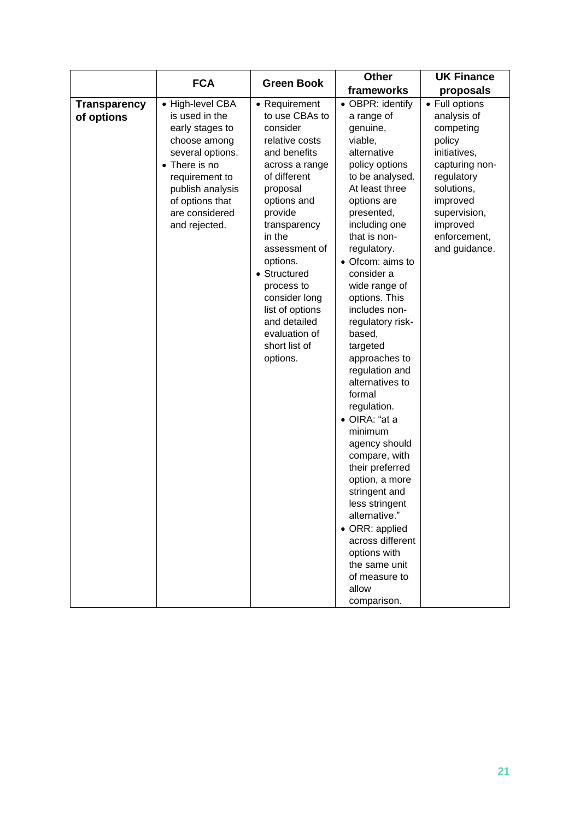|                                   | <b>FCA</b>                                                                                                                                                                                             |                                                                                                                                                                                                                                                                                                                                              | <b>Other</b>                                                                                                                                                                                                                                                                                                                                                                                                                                                                                                                                                                                                                                                                                  | <b>UK Finance</b>                                                                                                                                                                           |
|-----------------------------------|--------------------------------------------------------------------------------------------------------------------------------------------------------------------------------------------------------|----------------------------------------------------------------------------------------------------------------------------------------------------------------------------------------------------------------------------------------------------------------------------------------------------------------------------------------------|-----------------------------------------------------------------------------------------------------------------------------------------------------------------------------------------------------------------------------------------------------------------------------------------------------------------------------------------------------------------------------------------------------------------------------------------------------------------------------------------------------------------------------------------------------------------------------------------------------------------------------------------------------------------------------------------------|---------------------------------------------------------------------------------------------------------------------------------------------------------------------------------------------|
|                                   |                                                                                                                                                                                                        | <b>Green Book</b>                                                                                                                                                                                                                                                                                                                            | frameworks                                                                                                                                                                                                                                                                                                                                                                                                                                                                                                                                                                                                                                                                                    | proposals                                                                                                                                                                                   |
| <b>Transparency</b><br>of options | • High-level CBA<br>is used in the<br>early stages to<br>choose among<br>several options.<br>• There is no<br>requirement to<br>publish analysis<br>of options that<br>are considered<br>and rejected. | • Requirement<br>to use CBAs to<br>consider<br>relative costs<br>and benefits<br>across a range<br>of different<br>proposal<br>options and<br>provide<br>transparency<br>in the<br>assessment of<br>options.<br>• Structured<br>process to<br>consider long<br>list of options<br>and detailed<br>evaluation of<br>short list of<br>options. | • OBPR: identify<br>a range of<br>genuine,<br>viable,<br>alternative<br>policy options<br>to be analysed.<br>At least three<br>options are<br>presented,<br>including one<br>that is non-<br>regulatory.<br>• Ofcom: aims to<br>consider a<br>wide range of<br>options. This<br>includes non-<br>regulatory risk-<br>based,<br>targeted<br>approaches to<br>regulation and<br>alternatives to<br>formal<br>regulation.<br>· OIRA: "at a<br>minimum<br>agency should<br>compare, with<br>their preferred<br>option, a more<br>stringent and<br>less stringent<br>alternative."<br>• ORR: applied<br>across different<br>options with<br>the same unit<br>of measure to<br>allow<br>comparison. | • Full options<br>analysis of<br>competing<br>policy<br>initiatives,<br>capturing non-<br>regulatory<br>solutions,<br>improved<br>supervision,<br>improved<br>enforcement,<br>and guidance. |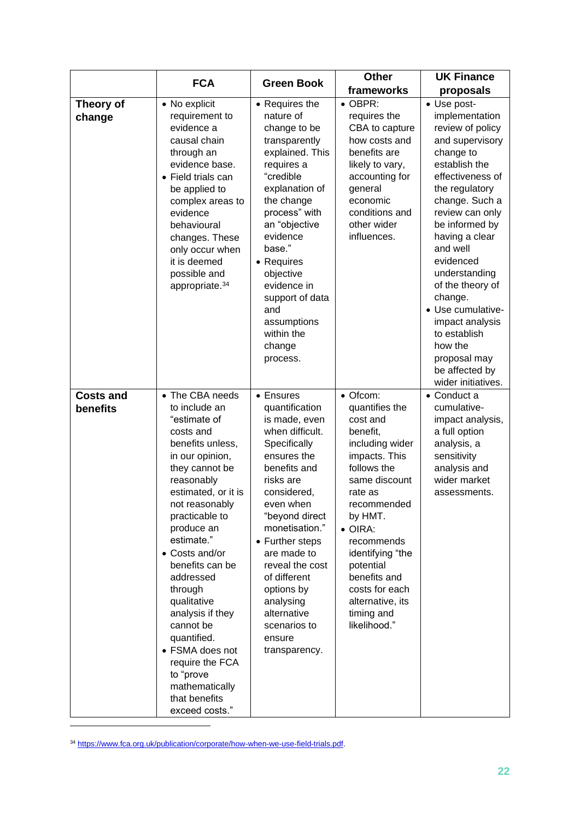|                              | <b>FCA</b>                                                                                                                                                                                                                                                                                                                                                                                                                                                      | <b>Green Book</b>                                                                                                                                                                                                                                                                                                                                     | <b>Other</b>                                                                                                                                                                                                                                                                                                      | <b>UK Finance</b>                                                                                                                                                                                                                                                                                                                                                                                                     |
|------------------------------|-----------------------------------------------------------------------------------------------------------------------------------------------------------------------------------------------------------------------------------------------------------------------------------------------------------------------------------------------------------------------------------------------------------------------------------------------------------------|-------------------------------------------------------------------------------------------------------------------------------------------------------------------------------------------------------------------------------------------------------------------------------------------------------------------------------------------------------|-------------------------------------------------------------------------------------------------------------------------------------------------------------------------------------------------------------------------------------------------------------------------------------------------------------------|-----------------------------------------------------------------------------------------------------------------------------------------------------------------------------------------------------------------------------------------------------------------------------------------------------------------------------------------------------------------------------------------------------------------------|
|                              |                                                                                                                                                                                                                                                                                                                                                                                                                                                                 |                                                                                                                                                                                                                                                                                                                                                       | frameworks                                                                                                                                                                                                                                                                                                        | proposals                                                                                                                                                                                                                                                                                                                                                                                                             |
| Theory of<br>change          | • No explicit<br>requirement to<br>evidence a<br>causal chain<br>through an<br>evidence base.<br>• Field trials can<br>be applied to<br>complex areas to<br>evidence<br>behavioural<br>changes. These<br>only occur when<br>it is deemed<br>possible and<br>appropriate. <sup>34</sup>                                                                                                                                                                          | • Requires the<br>nature of<br>change to be<br>transparently<br>explained. This<br>requires a<br>"credible<br>explanation of<br>the change<br>process" with<br>an "objective<br>evidence<br>base."<br>• Requires<br>objective<br>evidence in<br>support of data<br>and<br>assumptions<br>within the<br>change<br>process.                             | $\bullet$ OBPR:<br>requires the<br>CBA to capture<br>how costs and<br>benefits are<br>likely to vary,<br>accounting for<br>general<br>economic<br>conditions and<br>other wider<br>influences.                                                                                                                    | • Use post-<br>implementation<br>review of policy<br>and supervisory<br>change to<br>establish the<br>effectiveness of<br>the regulatory<br>change. Such a<br>review can only<br>be informed by<br>having a clear<br>and well<br>evidenced<br>understanding<br>of the theory of<br>change.<br>· Use cumulative-<br>impact analysis<br>to establish<br>how the<br>proposal may<br>be affected by<br>wider initiatives. |
| <b>Costs and</b><br>benefits | • The CBA needs<br>to include an<br>"estimate of<br>costs and<br>benefits unless,<br>in our opinion,<br>they cannot be<br>reasonably<br>estimated, or it is<br>not reasonably<br>practicable to<br>produce an<br>estimate."<br>• Costs and/or<br>benefits can be<br>addressed<br>through<br>qualitative<br>analysis if they<br>cannot be<br>quantified.<br>• FSMA does not<br>require the FCA<br>to "prove<br>mathematically<br>that benefits<br>exceed costs." | • Ensures<br>quantification<br>is made, even<br>when difficult.<br>Specifically<br>ensures the<br>benefits and<br>risks are<br>considered,<br>even when<br>"beyond direct<br>monetisation."<br>• Further steps<br>are made to<br>reveal the cost<br>of different<br>options by<br>analysing<br>alternative<br>scenarios to<br>ensure<br>transparency. | • Ofcom:<br>quantifies the<br>cost and<br>benefit,<br>including wider<br>impacts. This<br>follows the<br>same discount<br>rate as<br>recommended<br>by HMT.<br>$\bullet$ OIRA:<br>recommends<br>identifying "the<br>potential<br>benefits and<br>costs for each<br>alternative, its<br>timing and<br>likelihood." | • Conduct a<br>cumulative-<br>impact analysis,<br>a full option<br>analysis, a<br>sensitivity<br>analysis and<br>wider market<br>assessments.                                                                                                                                                                                                                                                                         |

<sup>34</sup> [https://www.fca.org.uk/publication/corporate/how-when-we-use-field-trials.pdf.](https://www.fca.org.uk/publication/corporate/how-when-we-use-field-trials.pdf)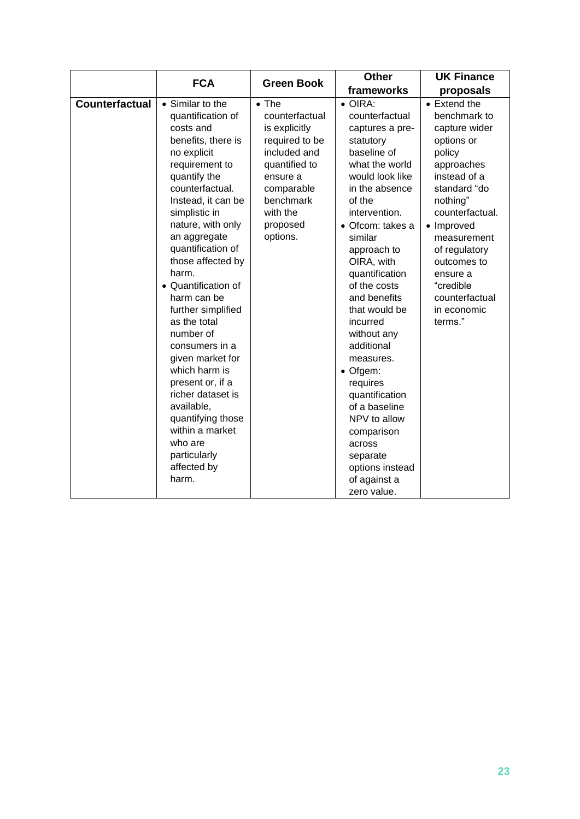|                       | <b>FCA</b>                                                                                                                                                                                                                                                                                                                                                                                                                                                                                                                                                                    | <b>Green Book</b>                                                                                                                                                              | <b>Other</b>                                                                                                                                                                                                                                                                                                                                                                                                                                                                                                             | <b>UK Finance</b>                                                                                                                                                                                                                                                                    |
|-----------------------|-------------------------------------------------------------------------------------------------------------------------------------------------------------------------------------------------------------------------------------------------------------------------------------------------------------------------------------------------------------------------------------------------------------------------------------------------------------------------------------------------------------------------------------------------------------------------------|--------------------------------------------------------------------------------------------------------------------------------------------------------------------------------|--------------------------------------------------------------------------------------------------------------------------------------------------------------------------------------------------------------------------------------------------------------------------------------------------------------------------------------------------------------------------------------------------------------------------------------------------------------------------------------------------------------------------|--------------------------------------------------------------------------------------------------------------------------------------------------------------------------------------------------------------------------------------------------------------------------------------|
|                       |                                                                                                                                                                                                                                                                                                                                                                                                                                                                                                                                                                               |                                                                                                                                                                                | frameworks                                                                                                                                                                                                                                                                                                                                                                                                                                                                                                               | proposals                                                                                                                                                                                                                                                                            |
| <b>Counterfactual</b> | • Similar to the<br>quantification of<br>costs and<br>benefits, there is<br>no explicit<br>requirement to<br>quantify the<br>counterfactual.<br>Instead, it can be<br>simplistic in<br>nature, with only<br>an aggregate<br>quantification of<br>those affected by<br>harm.<br>• Quantification of<br>harm can be<br>further simplified<br>as the total<br>number of<br>consumers in a<br>given market for<br>which harm is<br>present or, if a<br>richer dataset is<br>available,<br>quantifying those<br>within a market<br>who are<br>particularly<br>affected by<br>harm. | $\bullet$ The<br>counterfactual<br>is explicitly<br>required to be<br>included and<br>quantified to<br>ensure a<br>comparable<br>benchmark<br>with the<br>proposed<br>options. | $\bullet$ OIRA:<br>counterfactual<br>captures a pre-<br>statutory<br>baseline of<br>what the world<br>would look like<br>in the absence<br>of the<br>intervention.<br>· Ofcom: takes a<br>similar<br>approach to<br>OIRA, with<br>quantification<br>of the costs<br>and benefits<br>that would be<br>incurred<br>without any<br>additional<br>measures.<br>• Ofgem:<br>requires<br>quantification<br>of a baseline<br>NPV to allow<br>comparison<br>across<br>separate<br>options instead<br>of against a<br>zero value. | • Extend the<br>benchmark to<br>capture wider<br>options or<br>policy<br>approaches<br>instead of a<br>standard "do<br>nothing"<br>counterfactual.<br>• Improved<br>measurement<br>of regulatory<br>outcomes to<br>ensure a<br>"credible<br>counterfactual<br>in economic<br>terms." |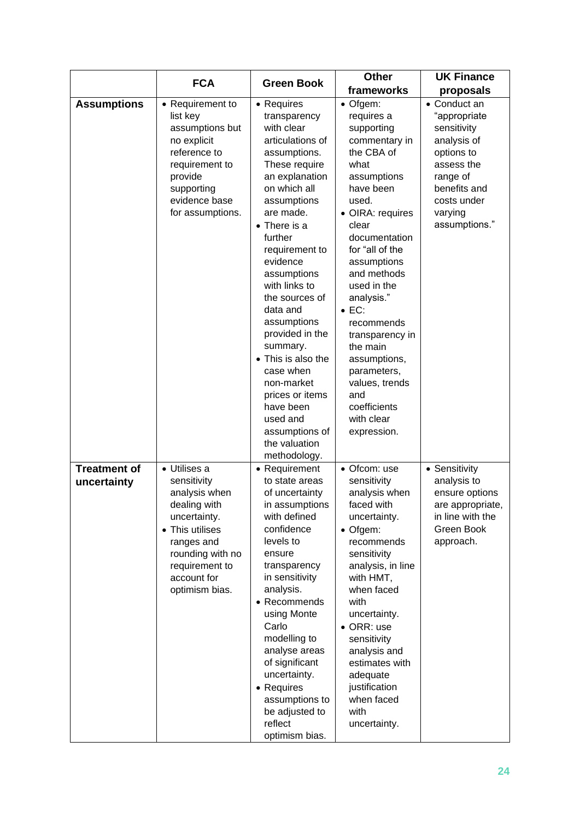|                                    | <b>FCA</b>                                                                                                                                                                           | <b>Green Book</b>                                                                                                                                                                                                                                                                                                                                                                                                                                                                        | <b>Other</b>                                                                                                                                                                                                                                                                                                                                                                                                    | <b>UK Finance</b>                                                                                                                                             |
|------------------------------------|--------------------------------------------------------------------------------------------------------------------------------------------------------------------------------------|------------------------------------------------------------------------------------------------------------------------------------------------------------------------------------------------------------------------------------------------------------------------------------------------------------------------------------------------------------------------------------------------------------------------------------------------------------------------------------------|-----------------------------------------------------------------------------------------------------------------------------------------------------------------------------------------------------------------------------------------------------------------------------------------------------------------------------------------------------------------------------------------------------------------|---------------------------------------------------------------------------------------------------------------------------------------------------------------|
|                                    |                                                                                                                                                                                      |                                                                                                                                                                                                                                                                                                                                                                                                                                                                                          | frameworks                                                                                                                                                                                                                                                                                                                                                                                                      | proposals                                                                                                                                                     |
| <b>Assumptions</b>                 | • Requirement to<br>list key<br>assumptions but<br>no explicit<br>reference to<br>requirement to<br>provide<br>supporting<br>evidence base<br>for assumptions.                       | • Requires<br>transparency<br>with clear<br>articulations of<br>assumptions.<br>These require<br>an explanation<br>on which all<br>assumptions<br>are made.<br>$\bullet$ There is a<br>further<br>requirement to<br>evidence<br>assumptions<br>with links to<br>the sources of<br>data and<br>assumptions<br>provided in the<br>summary.<br>• This is also the<br>case when<br>non-market<br>prices or items<br>have been<br>used and<br>assumptions of<br>the valuation<br>methodology. | • Ofgem:<br>requires a<br>supporting<br>commentary in<br>the CBA of<br>what<br>assumptions<br>have been<br>used.<br>• OIRA: requires<br>clear<br>documentation<br>for "all of the<br>assumptions<br>and methods<br>used in the<br>analysis."<br>$\bullet$ EC:<br>recommends<br>transparency in<br>the main<br>assumptions,<br>parameters,<br>values, trends<br>and<br>coefficients<br>with clear<br>expression. | • Conduct an<br>"appropriate<br>sensitivity<br>analysis of<br>options to<br>assess the<br>range of<br>benefits and<br>costs under<br>varying<br>assumptions." |
| <b>Treatment of</b><br>uncertainty | · Utilises a<br>sensitivity<br>analysis when<br>dealing with<br>uncertainty.<br>• This utilises<br>ranges and<br>rounding with no<br>requirement to<br>account for<br>optimism bias. | • Requirement<br>to state areas<br>of uncertainty<br>in assumptions<br>with defined<br>confidence<br>levels to<br>ensure<br>transparency<br>in sensitivity<br>analysis.<br>• Recommends<br>using Monte<br>Carlo<br>modelling to<br>analyse areas<br>of significant<br>uncertainty.<br>• Requires<br>assumptions to<br>be adjusted to<br>reflect<br>optimism bias.                                                                                                                        | • Ofcom: use<br>sensitivity<br>analysis when<br>faced with<br>uncertainty.<br>• Ofgem:<br>recommends<br>sensitivity<br>analysis, in line<br>with HMT,<br>when faced<br>with<br>uncertainty.<br>• ORR: use<br>sensitivity<br>analysis and<br>estimates with<br>adequate<br>justification<br>when faced<br>with<br>uncertainty.                                                                                   | • Sensitivity<br>analysis to<br>ensure options<br>are appropriate,<br>in line with the<br>Green Book<br>approach.                                             |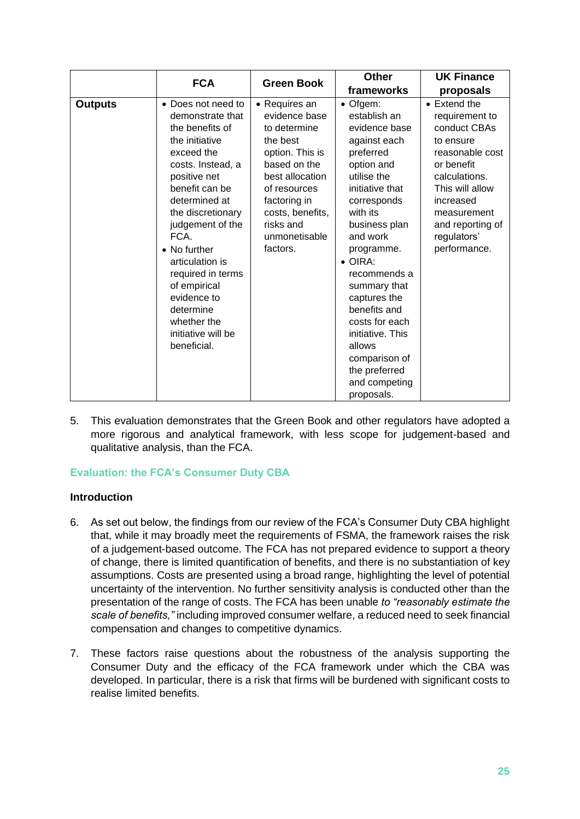|                | <b>FCA</b>                                                                                                                                                                                                                                                                                                                                                                 | <b>Green Book</b>                                                                                                                                                                                              | <b>Other</b>                                                                                                                                                                                                                                                                                                                                                                                     | <b>UK Finance</b>                                                                                                                                                                                                       |
|----------------|----------------------------------------------------------------------------------------------------------------------------------------------------------------------------------------------------------------------------------------------------------------------------------------------------------------------------------------------------------------------------|----------------------------------------------------------------------------------------------------------------------------------------------------------------------------------------------------------------|--------------------------------------------------------------------------------------------------------------------------------------------------------------------------------------------------------------------------------------------------------------------------------------------------------------------------------------------------------------------------------------------------|-------------------------------------------------------------------------------------------------------------------------------------------------------------------------------------------------------------------------|
|                |                                                                                                                                                                                                                                                                                                                                                                            |                                                                                                                                                                                                                | frameworks                                                                                                                                                                                                                                                                                                                                                                                       | proposals                                                                                                                                                                                                               |
| <b>Outputs</b> | • Does not need to<br>demonstrate that<br>the benefits of<br>the initiative<br>exceed the<br>costs. Instead, a<br>positive net<br>benefit can be<br>determined at<br>the discretionary<br>judgement of the<br>FCA.<br>• No further<br>articulation is<br>required in terms<br>of empirical<br>evidence to<br>determine<br>whether the<br>initiative will be<br>beneficial. | • Requires an<br>evidence base<br>to determine<br>the best<br>option. This is<br>based on the<br>best allocation<br>of resources<br>factoring in<br>costs, benefits,<br>risks and<br>unmonetisable<br>factors. | • Ofgem:<br>establish an<br>evidence base<br>against each<br>preferred<br>option and<br>utilise the<br>initiative that<br>corresponds<br>with its<br>business plan<br>and work<br>programme.<br>$\bullet$ OIRA:<br>recommends a<br>summary that<br>captures the<br>benefits and<br>costs for each<br>initiative. This<br>allows<br>comparison of<br>the preferred<br>and competing<br>proposals. | $\bullet$ Extend the<br>requirement to<br>conduct CBAs<br>to ensure<br>reasonable cost<br>or benefit<br>calculations.<br>This will allow<br>increased<br>measurement<br>and reporting of<br>regulators'<br>performance. |

5. This evaluation demonstrates that the Green Book and other regulators have adopted a more rigorous and analytical framework, with less scope for judgement-based and qualitative analysis, than the FCA.

#### **Evaluation: the FCA's Consumer Duty CBA**

#### **Introduction**

- 6. As set out below, the findings from our review of the FCA's Consumer Duty CBA highlight that, while it may broadly meet the requirements of FSMA, the framework raises the risk of a judgement-based outcome. The FCA has not prepared evidence to support a theory of change, there is limited quantification of benefits, and there is no substantiation of key assumptions. Costs are presented using a broad range, highlighting the level of potential uncertainty of the intervention. No further sensitivity analysis is conducted other than the presentation of the range of costs. The FCA has been unable *to "reasonably estimate the scale of benefits,"* including improved consumer welfare, a reduced need to seek financial compensation and changes to competitive dynamics.
- 7. These factors raise questions about the robustness of the analysis supporting the Consumer Duty and the efficacy of the FCA framework under which the CBA was developed. In particular, there is a risk that firms will be burdened with significant costs to realise limited benefits.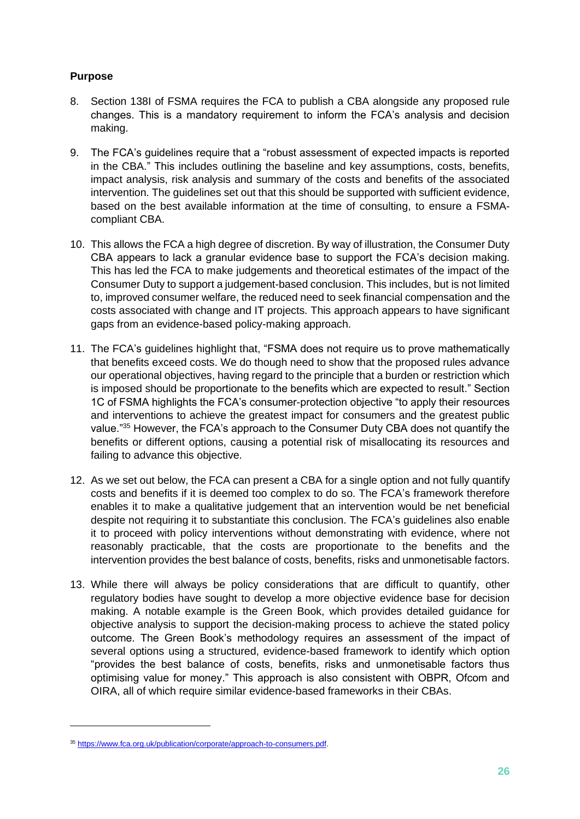#### **Purpose**

- 8. Section 138I of FSMA requires the FCA to publish a CBA alongside any proposed rule changes. This is a mandatory requirement to inform the FCA's analysis and decision making.
- 9. The FCA's guidelines require that a "robust assessment of expected impacts is reported in the CBA." This includes outlining the baseline and key assumptions, costs, benefits, impact analysis, risk analysis and summary of the costs and benefits of the associated intervention. The guidelines set out that this should be supported with sufficient evidence, based on the best available information at the time of consulting, to ensure a FSMAcompliant CBA.
- 10. This allows the FCA a high degree of discretion. By way of illustration, the Consumer Duty CBA appears to lack a granular evidence base to support the FCA's decision making. This has led the FCA to make judgements and theoretical estimates of the impact of the Consumer Duty to support a judgement-based conclusion. This includes, but is not limited to, improved consumer welfare, the reduced need to seek financial compensation and the costs associated with change and IT projects. This approach appears to have significant gaps from an evidence-based policy-making approach.
- 11. The FCA's guidelines highlight that, "FSMA does not require us to prove mathematically that benefits exceed costs. We do though need to show that the proposed rules advance our operational objectives, having regard to the principle that a burden or restriction which is imposed should be proportionate to the benefits which are expected to result." Section 1C of FSMA highlights the FCA's consumer-protection objective "to apply their resources and interventions to achieve the greatest impact for consumers and the greatest public value."<sup>35</sup> However, the FCA's approach to the Consumer Duty CBA does not quantify the benefits or different options, causing a potential risk of misallocating its resources and failing to advance this objective.
- 12. As we set out below, the FCA can present a CBA for a single option and not fully quantify costs and benefits if it is deemed too complex to do so. The FCA's framework therefore enables it to make a qualitative judgement that an intervention would be net beneficial despite not requiring it to substantiate this conclusion. The FCA's guidelines also enable it to proceed with policy interventions without demonstrating with evidence, where not reasonably practicable, that the costs are proportionate to the benefits and the intervention provides the best balance of costs, benefits, risks and unmonetisable factors.
- 13. While there will always be policy considerations that are difficult to quantify, other regulatory bodies have sought to develop a more objective evidence base for decision making. A notable example is the Green Book, which provides detailed guidance for objective analysis to support the decision-making process to achieve the stated policy outcome. The Green Book's methodology requires an assessment of the impact of several options using a structured, evidence-based framework to identify which option "provides the best balance of costs, benefits, risks and unmonetisable factors thus optimising value for money." This approach is also consistent with OBPR, Ofcom and OIRA, all of which require similar evidence-based frameworks in their CBAs.

<sup>35</sup> [https://www.fca.org.uk/publication/corporate/approach-to-consumers.pdf.](https://www.fca.org.uk/publication/corporate/approach-to-consumers.pdf)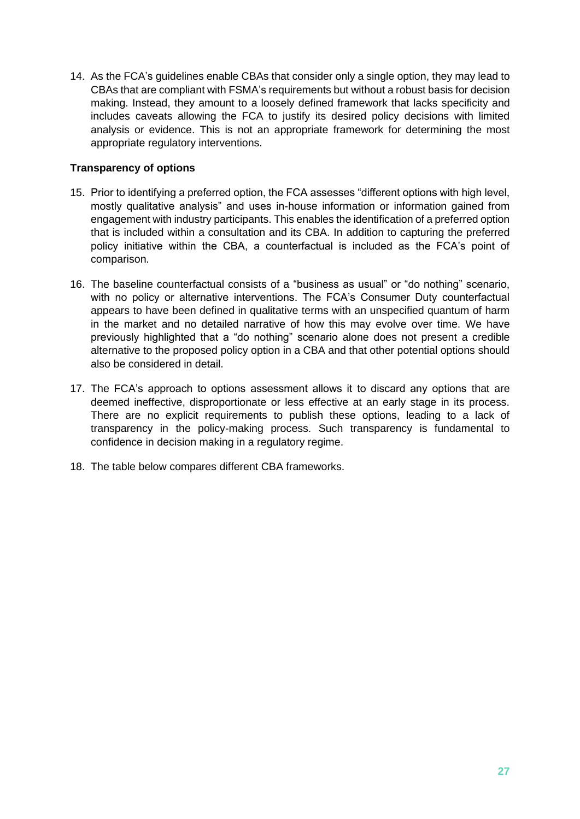14. As the FCA's guidelines enable CBAs that consider only a single option, they may lead to CBAs that are compliant with FSMA's requirements but without a robust basis for decision making. Instead, they amount to a loosely defined framework that lacks specificity and includes caveats allowing the FCA to justify its desired policy decisions with limited analysis or evidence. This is not an appropriate framework for determining the most appropriate regulatory interventions.

#### **Transparency of options**

- 15. Prior to identifying a preferred option, the FCA assesses "different options with high level, mostly qualitative analysis" and uses in-house information or information gained from engagement with industry participants. This enables the identification of a preferred option that is included within a consultation and its CBA. In addition to capturing the preferred policy initiative within the CBA, a counterfactual is included as the FCA's point of comparison.
- 16. The baseline counterfactual consists of a "business as usual" or "do nothing" scenario, with no policy or alternative interventions. The FCA's Consumer Duty counterfactual appears to have been defined in qualitative terms with an unspecified quantum of harm in the market and no detailed narrative of how this may evolve over time. We have previously highlighted that a "do nothing" scenario alone does not present a credible alternative to the proposed policy option in a CBA and that other potential options should also be considered in detail.
- 17. The FCA's approach to options assessment allows it to discard any options that are deemed ineffective, disproportionate or less effective at an early stage in its process. There are no explicit requirements to publish these options, leading to a lack of transparency in the policy-making process. Such transparency is fundamental to confidence in decision making in a regulatory regime.
- 18. The table below compares different CBA frameworks.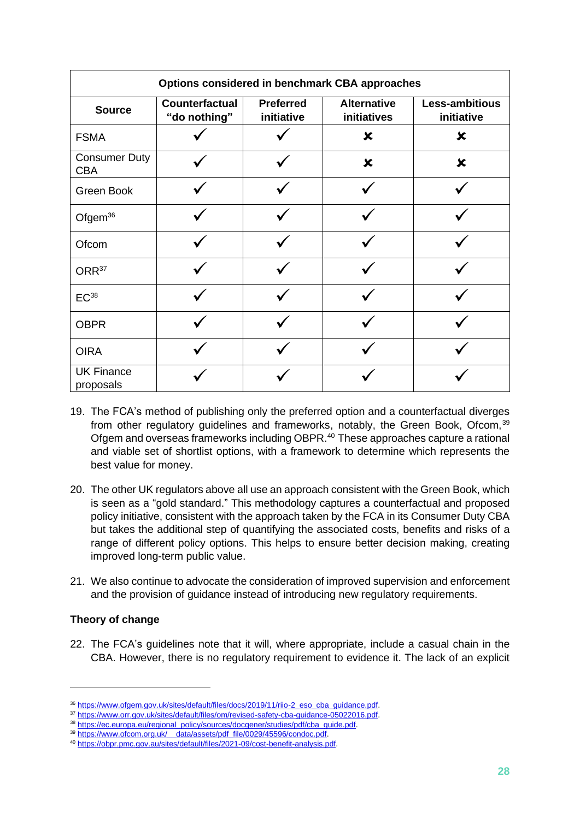| Options considered in benchmark CBA approaches |                                |                                |                                   |                              |  |
|------------------------------------------------|--------------------------------|--------------------------------|-----------------------------------|------------------------------|--|
| <b>Source</b>                                  | Counterfactual<br>"do nothing" | <b>Preferred</b><br>initiative | <b>Alternative</b><br>initiatives | Less-ambitious<br>initiative |  |
| <b>FSMA</b>                                    |                                |                                | $\boldsymbol{\mathsf{x}}$         | $\boldsymbol{\mathsf{x}}$    |  |
| <b>Consumer Duty</b><br><b>CBA</b>             |                                |                                | $\boldsymbol{\mathsf{x}}$         | $\boldsymbol{\mathsf{x}}$    |  |
| Green Book                                     |                                |                                |                                   |                              |  |
| Ofgem <sup>36</sup>                            |                                |                                |                                   |                              |  |
| Ofcom                                          |                                |                                |                                   |                              |  |
| ORR <sup>37</sup>                              |                                |                                |                                   |                              |  |
| $EC^{38}$                                      |                                |                                |                                   |                              |  |
| <b>OBPR</b>                                    |                                |                                |                                   |                              |  |
| <b>OIRA</b>                                    |                                |                                |                                   |                              |  |
| <b>UK Finance</b><br>proposals                 |                                |                                |                                   |                              |  |

- 19. The FCA's method of publishing only the preferred option and a counterfactual diverges from other regulatory guidelines and frameworks, notably, the Green Book, Ofcom, 39 Ofgem and overseas frameworks including OBPR.<sup>40</sup> These approaches capture a rational and viable set of shortlist options, with a framework to determine which represents the best value for money.
- 20. The other UK regulators above all use an approach consistent with the Green Book, which is seen as a "gold standard." This methodology captures a counterfactual and proposed policy initiative, consistent with the approach taken by the FCA in its Consumer Duty CBA but takes the additional step of quantifying the associated costs, benefits and risks of a range of different policy options. This helps to ensure better decision making, creating improved long-term public value.
- 21. We also continue to advocate the consideration of improved supervision and enforcement and the provision of guidance instead of introducing new regulatory requirements.

#### **Theory of change**

22. The FCA's guidelines note that it will, where appropriate, include a casual chain in the CBA. However, there is no regulatory requirement to evidence it. The lack of an explicit

<sup>36</sup> [https://www.ofgem.gov.uk/sites/default/files/docs/2019/11/riio-2\\_eso\\_cba\\_guidance.pdf.](https://www.ofgem.gov.uk/sites/default/files/docs/2019/11/riio-2_eso_cba_guidance.pdf)

<sup>37</sup> [https://www.orr.gov.uk/sites/default/files/om/revised-safety-cba-guidance-05022016.pdf.](https://www.orr.gov.uk/sites/default/files/om/revised-safety-cba-guidance-05022016.pdf)

<sup>38</sup> [https://ec.europa.eu/regional\\_policy/sources/docgener/studies/pdf/cba\\_guide.pdf.](https://ec.europa.eu/regional_policy/sources/docgener/studies/pdf/cba_guide.pdf)

<sup>&</sup>lt;sup>39</sup> [https://www.ofcom.org.uk/\\_\\_data/assets/pdf\\_file/0029/45596/condoc.pdf.](https://www.ofcom.org.uk/__data/assets/pdf_file/0029/45596/condoc.pdf)

<sup>40</sup> [https://obpr.pmc.gov.au/sites/default/files/2021-09/cost-benefit-analysis.pdf.](https://obpr.pmc.gov.au/sites/default/files/2021-09/cost-benefit-analysis.pdf)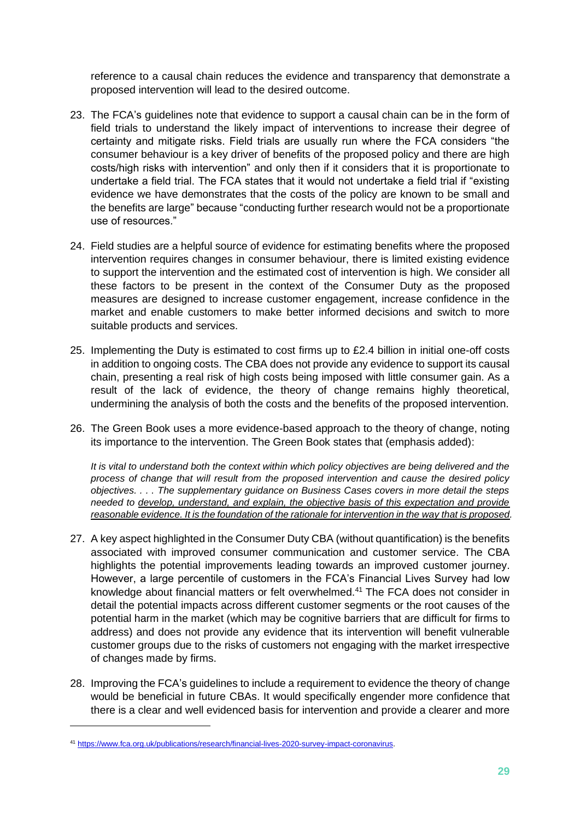reference to a causal chain reduces the evidence and transparency that demonstrate a proposed intervention will lead to the desired outcome.

- 23. The FCA's guidelines note that evidence to support a causal chain can be in the form of field trials to understand the likely impact of interventions to increase their degree of certainty and mitigate risks. Field trials are usually run where the FCA considers "the consumer behaviour is a key driver of benefits of the proposed policy and there are high costs/high risks with intervention" and only then if it considers that it is proportionate to undertake a field trial. The FCA states that it would not undertake a field trial if "existing evidence we have demonstrates that the costs of the policy are known to be small and the benefits are large" because "conducting further research would not be a proportionate use of resources."
- 24. Field studies are a helpful source of evidence for estimating benefits where the proposed intervention requires changes in consumer behaviour, there is limited existing evidence to support the intervention and the estimated cost of intervention is high. We consider all these factors to be present in the context of the Consumer Duty as the proposed measures are designed to increase customer engagement, increase confidence in the market and enable customers to make better informed decisions and switch to more suitable products and services.
- 25. Implementing the Duty is estimated to cost firms up to £2.4 billion in initial one-off costs in addition to ongoing costs. The CBA does not provide any evidence to support its causal chain, presenting a real risk of high costs being imposed with little consumer gain. As a result of the lack of evidence, the theory of change remains highly theoretical, undermining the analysis of both the costs and the benefits of the proposed intervention.
- 26. The Green Book uses a more evidence-based approach to the theory of change, noting its importance to the intervention. The Green Book states that (emphasis added):

*It is vital to understand both the context within which policy objectives are being delivered and the process of change that will result from the proposed intervention and cause the desired policy objectives. . . . The supplementary guidance on Business Cases covers in more detail the steps needed to develop, understand, and explain, the objective basis of this expectation and provide reasonable evidence. It is the foundation of the rationale for intervention in the way that is proposed.*

- 27. A key aspect highlighted in the Consumer Duty CBA (without quantification) is the benefits associated with improved consumer communication and customer service. The CBA highlights the potential improvements leading towards an improved customer journey. However, a large percentile of customers in the FCA's Financial Lives Survey had low knowledge about financial matters or felt overwhelmed.<sup>41</sup> The FCA does not consider in detail the potential impacts across different customer segments or the root causes of the potential harm in the market (which may be cognitive barriers that are difficult for firms to address) and does not provide any evidence that its intervention will benefit vulnerable customer groups due to the risks of customers not engaging with the market irrespective of changes made by firms.
- 28. Improving the FCA's guidelines to include a requirement to evidence the theory of change would be beneficial in future CBAs. It would specifically engender more confidence that there is a clear and well evidenced basis for intervention and provide a clearer and more

<sup>41</sup> [https://www.fca.org.uk/publications/research/financial-lives-2020-survey-impact-coronavirus.](https://www.fca.org.uk/publications/research/financial-lives-2020-survey-impact-coronavirus)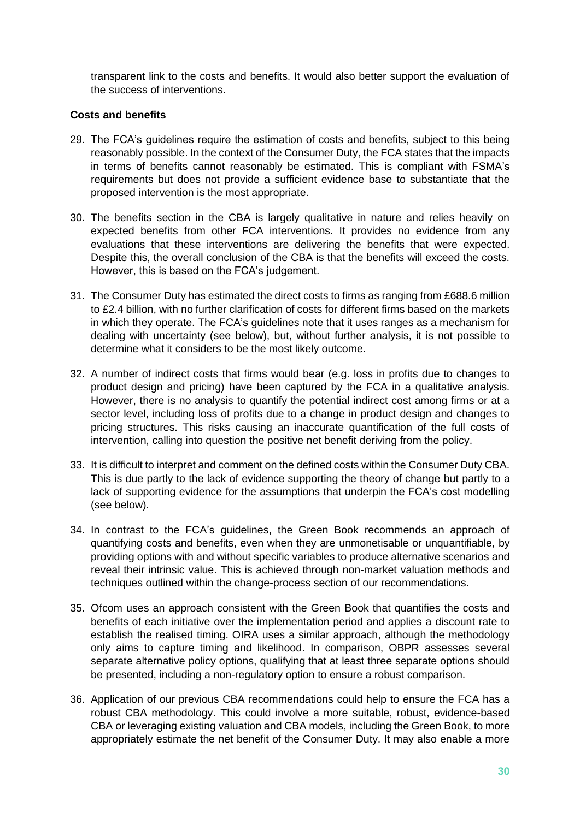transparent link to the costs and benefits. It would also better support the evaluation of the success of interventions.

#### **Costs and benefits**

- 29. The FCA's guidelines require the estimation of costs and benefits, subject to this being reasonably possible. In the context of the Consumer Duty, the FCA states that the impacts in terms of benefits cannot reasonably be estimated. This is compliant with FSMA's requirements but does not provide a sufficient evidence base to substantiate that the proposed intervention is the most appropriate.
- 30. The benefits section in the CBA is largely qualitative in nature and relies heavily on expected benefits from other FCA interventions. It provides no evidence from any evaluations that these interventions are delivering the benefits that were expected. Despite this, the overall conclusion of the CBA is that the benefits will exceed the costs. However, this is based on the FCA's judgement.
- 31. The Consumer Duty has estimated the direct costs to firms as ranging from £688.6 million to £2.4 billion, with no further clarification of costs for different firms based on the markets in which they operate. The FCA's guidelines note that it uses ranges as a mechanism for dealing with uncertainty (see below), but, without further analysis, it is not possible to determine what it considers to be the most likely outcome.
- 32. A number of indirect costs that firms would bear (e.g. loss in profits due to changes to product design and pricing) have been captured by the FCA in a qualitative analysis. However, there is no analysis to quantify the potential indirect cost among firms or at a sector level, including loss of profits due to a change in product design and changes to pricing structures. This risks causing an inaccurate quantification of the full costs of intervention, calling into question the positive net benefit deriving from the policy.
- 33. It is difficult to interpret and comment on the defined costs within the Consumer Duty CBA. This is due partly to the lack of evidence supporting the theory of change but partly to a lack of supporting evidence for the assumptions that underpin the FCA's cost modelling (see below).
- 34. In contrast to the FCA's guidelines, the Green Book recommends an approach of quantifying costs and benefits, even when they are unmonetisable or unquantifiable, by providing options with and without specific variables to produce alternative scenarios and reveal their intrinsic value. This is achieved through non-market valuation methods and techniques outlined within the change-process section of our recommendations.
- 35. Ofcom uses an approach consistent with the Green Book that quantifies the costs and benefits of each initiative over the implementation period and applies a discount rate to establish the realised timing. OIRA uses a similar approach, although the methodology only aims to capture timing and likelihood. In comparison, OBPR assesses several separate alternative policy options, qualifying that at least three separate options should be presented, including a non-regulatory option to ensure a robust comparison.
- 36. Application of our previous CBA recommendations could help to ensure the FCA has a robust CBA methodology. This could involve a more suitable, robust, evidence-based CBA or leveraging existing valuation and CBA models, including the Green Book, to more appropriately estimate the net benefit of the Consumer Duty. It may also enable a more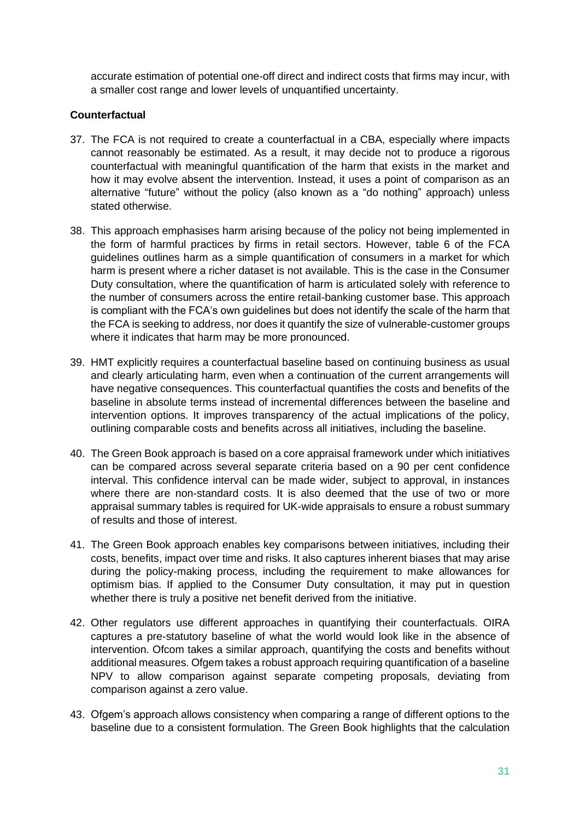accurate estimation of potential one-off direct and indirect costs that firms may incur, with a smaller cost range and lower levels of unquantified uncertainty.

#### **Counterfactual**

- 37. The FCA is not required to create a counterfactual in a CBA, especially where impacts cannot reasonably be estimated. As a result, it may decide not to produce a rigorous counterfactual with meaningful quantification of the harm that exists in the market and how it may evolve absent the intervention. Instead, it uses a point of comparison as an alternative "future" without the policy (also known as a "do nothing" approach) unless stated otherwise.
- 38. This approach emphasises harm arising because of the policy not being implemented in the form of harmful practices by firms in retail sectors. However, table 6 of the FCA guidelines outlines harm as a simple quantification of consumers in a market for which harm is present where a richer dataset is not available. This is the case in the Consumer Duty consultation, where the quantification of harm is articulated solely with reference to the number of consumers across the entire retail-banking customer base. This approach is compliant with the FCA's own guidelines but does not identify the scale of the harm that the FCA is seeking to address, nor does it quantify the size of vulnerable-customer groups where it indicates that harm may be more pronounced.
- 39. HMT explicitly requires a counterfactual baseline based on continuing business as usual and clearly articulating harm, even when a continuation of the current arrangements will have negative consequences. This counterfactual quantifies the costs and benefits of the baseline in absolute terms instead of incremental differences between the baseline and intervention options. It improves transparency of the actual implications of the policy, outlining comparable costs and benefits across all initiatives, including the baseline.
- 40. The Green Book approach is based on a core appraisal framework under which initiatives can be compared across several separate criteria based on a 90 per cent confidence interval. This confidence interval can be made wider, subject to approval, in instances where there are non-standard costs. It is also deemed that the use of two or more appraisal summary tables is required for UK-wide appraisals to ensure a robust summary of results and those of interest.
- 41. The Green Book approach enables key comparisons between initiatives, including their costs, benefits, impact over time and risks. It also captures inherent biases that may arise during the policy-making process, including the requirement to make allowances for optimism bias. If applied to the Consumer Duty consultation, it may put in question whether there is truly a positive net benefit derived from the initiative.
- 42. Other regulators use different approaches in quantifying their counterfactuals. OIRA captures a pre-statutory baseline of what the world would look like in the absence of intervention. Ofcom takes a similar approach, quantifying the costs and benefits without additional measures. Ofgem takes a robust approach requiring quantification of a baseline NPV to allow comparison against separate competing proposals, deviating from comparison against a zero value.
- 43. Ofgem's approach allows consistency when comparing a range of different options to the baseline due to a consistent formulation. The Green Book highlights that the calculation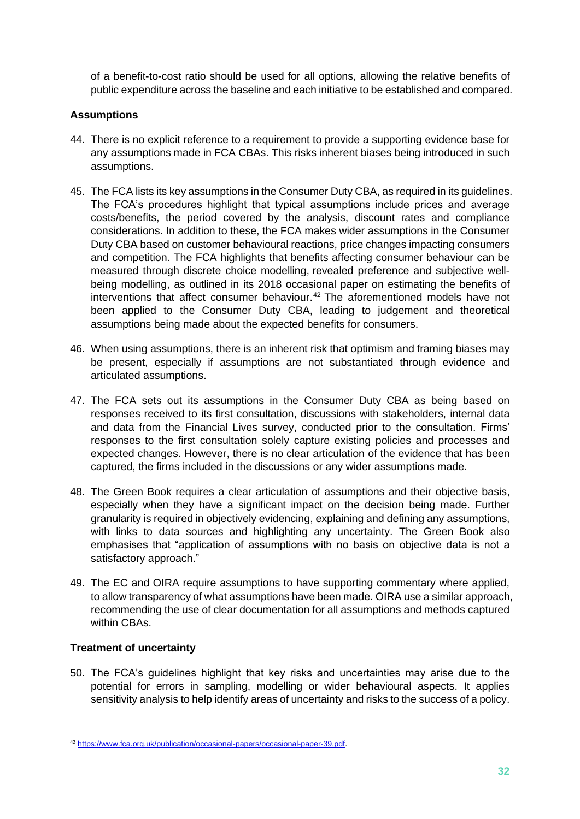of a benefit-to-cost ratio should be used for all options, allowing the relative benefits of public expenditure across the baseline and each initiative to be established and compared.

#### **Assumptions**

- 44. There is no explicit reference to a requirement to provide a supporting evidence base for any assumptions made in FCA CBAs. This risks inherent biases being introduced in such assumptions.
- 45. The FCA lists its key assumptions in the Consumer Duty CBA, as required in its guidelines. The FCA's procedures highlight that typical assumptions include prices and average costs/benefits, the period covered by the analysis, discount rates and compliance considerations. In addition to these, the FCA makes wider assumptions in the Consumer Duty CBA based on customer behavioural reactions, price changes impacting consumers and competition. The FCA highlights that benefits affecting consumer behaviour can be measured through discrete choice modelling, revealed preference and subjective wellbeing modelling, as outlined in its 2018 occasional paper on estimating the benefits of interventions that affect consumer behaviour. <sup>42</sup> The aforementioned models have not been applied to the Consumer Duty CBA, leading to judgement and theoretical assumptions being made about the expected benefits for consumers.
- 46. When using assumptions, there is an inherent risk that optimism and framing biases may be present, especially if assumptions are not substantiated through evidence and articulated assumptions.
- 47. The FCA sets out its assumptions in the Consumer Duty CBA as being based on responses received to its first consultation, discussions with stakeholders, internal data and data from the Financial Lives survey, conducted prior to the consultation. Firms' responses to the first consultation solely capture existing policies and processes and expected changes. However, there is no clear articulation of the evidence that has been captured, the firms included in the discussions or any wider assumptions made.
- 48. The Green Book requires a clear articulation of assumptions and their objective basis, especially when they have a significant impact on the decision being made. Further granularity is required in objectively evidencing, explaining and defining any assumptions, with links to data sources and highlighting any uncertainty. The Green Book also emphasises that "application of assumptions with no basis on objective data is not a satisfactory approach."
- 49. The EC and OIRA require assumptions to have supporting commentary where applied, to allow transparency of what assumptions have been made. OIRA use a similar approach, recommending the use of clear documentation for all assumptions and methods captured within CBAs.

#### **Treatment of uncertainty**

50. The FCA's guidelines highlight that key risks and uncertainties may arise due to the potential for errors in sampling, modelling or wider behavioural aspects. It applies sensitivity analysis to help identify areas of uncertainty and risks to the success of a policy.

<sup>42</sup> [https://www.fca.org.uk/publication/occasional-papers/occasional-paper-39.pdf.](https://www.fca.org.uk/publication/occasional-papers/occasional-paper-39.pdf)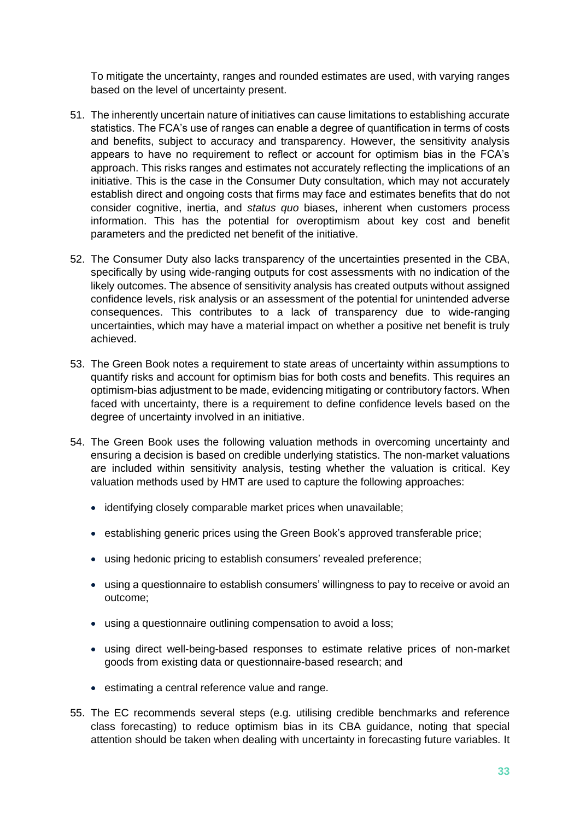To mitigate the uncertainty, ranges and rounded estimates are used, with varying ranges based on the level of uncertainty present.

- 51. The inherently uncertain nature of initiatives can cause limitations to establishing accurate statistics. The FCA's use of ranges can enable a degree of quantification in terms of costs and benefits, subject to accuracy and transparency. However, the sensitivity analysis appears to have no requirement to reflect or account for optimism bias in the FCA's approach. This risks ranges and estimates not accurately reflecting the implications of an initiative. This is the case in the Consumer Duty consultation, which may not accurately establish direct and ongoing costs that firms may face and estimates benefits that do not consider cognitive, inertia, and *status quo* biases, inherent when customers process information. This has the potential for overoptimism about key cost and benefit parameters and the predicted net benefit of the initiative.
- 52. The Consumer Duty also lacks transparency of the uncertainties presented in the CBA, specifically by using wide-ranging outputs for cost assessments with no indication of the likely outcomes. The absence of sensitivity analysis has created outputs without assigned confidence levels, risk analysis or an assessment of the potential for unintended adverse consequences. This contributes to a lack of transparency due to wide-ranging uncertainties, which may have a material impact on whether a positive net benefit is truly achieved.
- 53. The Green Book notes a requirement to state areas of uncertainty within assumptions to quantify risks and account for optimism bias for both costs and benefits. This requires an optimism-bias adjustment to be made, evidencing mitigating or contributory factors. When faced with uncertainty, there is a requirement to define confidence levels based on the degree of uncertainty involved in an initiative.
- 54. The Green Book uses the following valuation methods in overcoming uncertainty and ensuring a decision is based on credible underlying statistics. The non-market valuations are included within sensitivity analysis, testing whether the valuation is critical. Key valuation methods used by HMT are used to capture the following approaches:
	- identifying closely comparable market prices when unavailable;
	- establishing generic prices using the Green Book's approved transferable price;
	- using hedonic pricing to establish consumers' revealed preference;
	- using a questionnaire to establish consumers' willingness to pay to receive or avoid an outcome;
	- using a questionnaire outlining compensation to avoid a loss;
	- using direct well-being-based responses to estimate relative prices of non-market goods from existing data or questionnaire-based research; and
	- estimating a central reference value and range.
- 55. The EC recommends several steps (e.g. utilising credible benchmarks and reference class forecasting) to reduce optimism bias in its CBA guidance, noting that special attention should be taken when dealing with uncertainty in forecasting future variables. It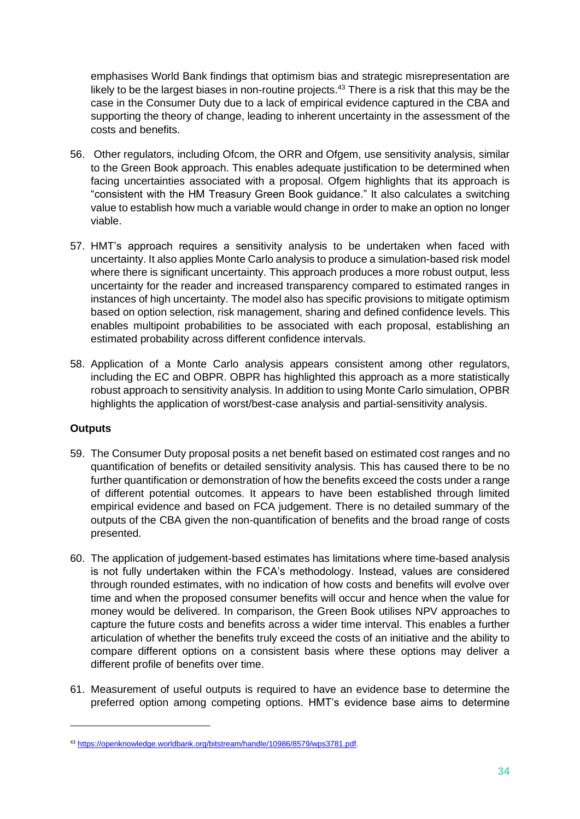emphasises World Bank findings that optimism bias and strategic misrepresentation are likely to be the largest biases in non-routine projects.<sup>43</sup> There is a risk that this may be the case in the Consumer Duty due to a lack of empirical evidence captured in the CBA and supporting the theory of change, leading to inherent uncertainty in the assessment of the costs and benefits.

- 56. Other regulators, including Ofcom, the ORR and Ofgem, use sensitivity analysis, similar to the Green Book approach. This enables adequate justification to be determined when facing uncertainties associated with a proposal. Ofgem highlights that its approach is "consistent with the HM Treasury Green Book guidance." It also calculates a switching value to establish how much a variable would change in order to make an option no longer viable.
- 57. HMT's approach requires a sensitivity analysis to be undertaken when faced with uncertainty. It also applies Monte Carlo analysis to produce a simulation-based risk model where there is significant uncertainty. This approach produces a more robust output, less uncertainty for the reader and increased transparency compared to estimated ranges in instances of high uncertainty. The model also has specific provisions to mitigate optimism based on option selection, risk management, sharing and defined confidence levels. This enables multipoint probabilities to be associated with each proposal, establishing an estimated probability across different confidence intervals.
- 58. Application of a Monte Carlo analysis appears consistent among other regulators, including the EC and OBPR. OBPR has highlighted this approach as a more statistically robust approach to sensitivity analysis. In addition to using Monte Carlo simulation, OPBR highlights the application of worst/best-case analysis and partial-sensitivity analysis.

#### **Outputs**

- 59. The Consumer Duty proposal posits a net benefit based on estimated cost ranges and no quantification of benefits or detailed sensitivity analysis. This has caused there to be no further quantification or demonstration of how the benefits exceed the costs under a range of different potential outcomes. It appears to have been established through limited empirical evidence and based on FCA judgement. There is no detailed summary of the outputs of the CBA given the non-quantification of benefits and the broad range of costs presented.
- 60. The application of judgement-based estimates has limitations where time-based analysis is not fully undertaken within the FCA's methodology. Instead, values are considered through rounded estimates, with no indication of how costs and benefits will evolve over time and when the proposed consumer benefits will occur and hence when the value for money would be delivered. In comparison, the Green Book utilises NPV approaches to capture the future costs and benefits across a wider time interval. This enables a further articulation of whether the benefits truly exceed the costs of an initiative and the ability to compare different options on a consistent basis where these options may deliver a different profile of benefits over time.
- 61. Measurement of useful outputs is required to have an evidence base to determine the preferred option among competing options. HMT's evidence base aims to determine

<sup>43</sup> [https://openknowledge.worldbank.org/bitstream/handle/10986/8579/wps3781.pdf.](https://openknowledge.worldbank.org/bitstream/handle/10986/8579/wps3781.pdf)